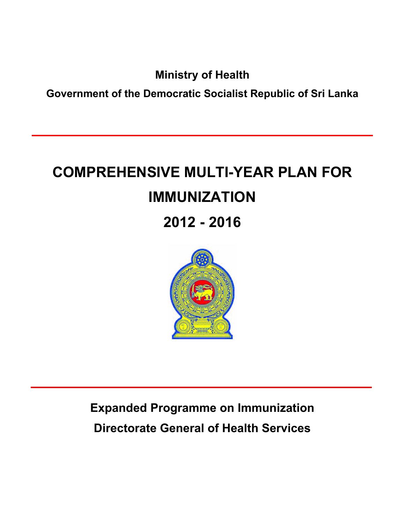**Ministry of Health** 

**Government of the Democratic Socialist Republic of Sri Lanka** 

# **COMPREHENSIVE MULTI-YEAR PLAN FOR IMMUNIZATION 2012 - 2016**



**Expanded Programme on Immunization Directorate General of Health Services**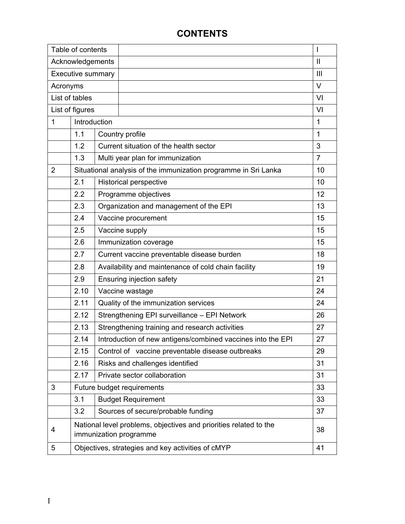# **CONTENTS**

| Table of contents        |              |                                        |                                                                                             | I              |  |  |  |
|--------------------------|--------------|----------------------------------------|---------------------------------------------------------------------------------------------|----------------|--|--|--|
| Acknowledgements         |              |                                        |                                                                                             | $\mathbf{I}$   |  |  |  |
| <b>Executive summary</b> |              |                                        |                                                                                             | $\mathbf{III}$ |  |  |  |
| Acronyms                 |              |                                        |                                                                                             | $\vee$         |  |  |  |
| List of tables           |              |                                        |                                                                                             | VI             |  |  |  |
| List of figures          |              |                                        |                                                                                             | VI             |  |  |  |
| 1                        | Introduction |                                        |                                                                                             | 1              |  |  |  |
|                          | 1.1          |                                        | Country profile                                                                             | $\mathbf{1}$   |  |  |  |
|                          | 1.2          |                                        | Current situation of the health sector                                                      | 3              |  |  |  |
|                          | 1.3          |                                        | Multi year plan for immunization                                                            | $\overline{7}$ |  |  |  |
| $\overline{2}$           |              |                                        | Situational analysis of the immunization programme in Sri Lanka                             | 10             |  |  |  |
|                          | 2.1          |                                        | <b>Historical perspective</b>                                                               | 10             |  |  |  |
|                          | 2.2          |                                        | Programme objectives                                                                        |                |  |  |  |
|                          | 2.3          | Organization and management of the EPI |                                                                                             |                |  |  |  |
|                          | 2.4          | Vaccine procurement                    |                                                                                             |                |  |  |  |
|                          | 2.5          |                                        | Vaccine supply                                                                              |                |  |  |  |
|                          | 2.6          |                                        | Immunization coverage                                                                       |                |  |  |  |
|                          | 2.7          |                                        | Current vaccine preventable disease burden                                                  | 18             |  |  |  |
|                          | 2.8          |                                        | Availability and maintenance of cold chain facility                                         | 19             |  |  |  |
|                          | 2.9          |                                        | Ensuring injection safety                                                                   | 21             |  |  |  |
|                          | 2.10         |                                        | Vaccine wastage                                                                             | 24             |  |  |  |
|                          | 2.11         |                                        | Quality of the immunization services                                                        | 24             |  |  |  |
|                          | 2.12         |                                        | Strengthening EPI surveillance - EPI Network                                                | 26             |  |  |  |
|                          | 2.13         |                                        | Strengthening training and research activities                                              | 27             |  |  |  |
|                          | 2.14         |                                        | Introduction of new antigens/combined vaccines into the EPI                                 | 27             |  |  |  |
|                          | 2.15         |                                        | Control of vaccine preventable disease outbreaks                                            | 29             |  |  |  |
|                          | 2.16         |                                        | Risks and challenges identified                                                             | 31             |  |  |  |
|                          | 2.17         |                                        | Private sector collaboration                                                                | 31             |  |  |  |
| 3                        |              |                                        | Future budget requirements                                                                  | 33             |  |  |  |
|                          | 3.1          |                                        | <b>Budget Requirement</b>                                                                   | 33             |  |  |  |
|                          | 3.2          |                                        | Sources of secure/probable funding                                                          | 37             |  |  |  |
| 4                        |              |                                        | National level problems, objectives and priorities related to the<br>immunization programme | 38             |  |  |  |
| 5                        |              |                                        | Objectives, strategies and key activities of cMYP                                           | 41             |  |  |  |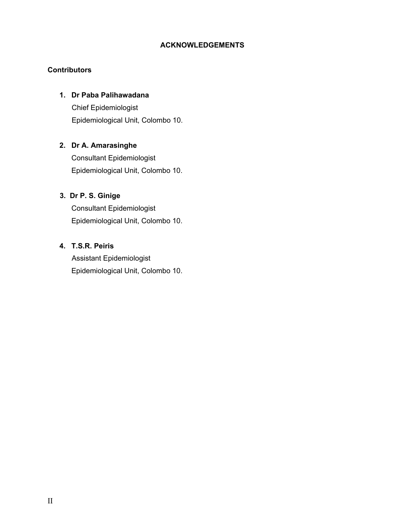# **ACKNOWLEDGEMENTS**

## **Contributors**

## **1. Dr Paba Palihawadana**

 Chief Epidemiologist Epidemiological Unit, Colombo 10.

# **2. Dr A. Amarasinghe**

Consultant Epidemiologist Epidemiological Unit, Colombo 10.

# **3. Dr P. S. Ginige**

Consultant Epidemiologist Epidemiological Unit, Colombo 10.

# **4. T.S.R. Peiris**

 Assistant Epidemiologist Epidemiological Unit, Colombo 10.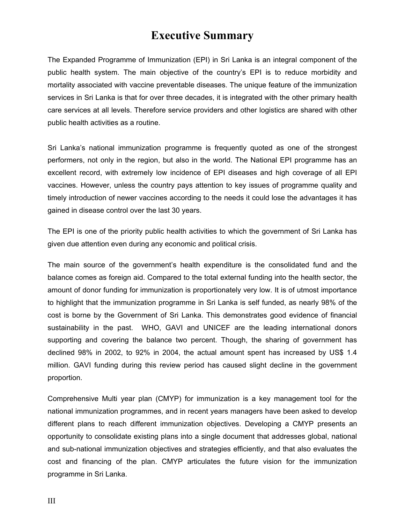# **Executive Summary**

The Expanded Programme of Immunization (EPI) in Sri Lanka is an integral component of the public health system. The main objective of the country's EPI is to reduce morbidity and mortality associated with vaccine preventable diseases. The unique feature of the immunization services in Sri Lanka is that for over three decades, it is integrated with the other primary health care services at all levels. Therefore service providers and other logistics are shared with other public health activities as a routine.

Sri Lanka's national immunization programme is frequently quoted as one of the strongest performers, not only in the region, but also in the world. The National EPI programme has an excellent record, with extremely low incidence of EPI diseases and high coverage of all EPI vaccines. However, unless the country pays attention to key issues of programme quality and timely introduction of newer vaccines according to the needs it could lose the advantages it has gained in disease control over the last 30 years.

The EPI is one of the priority public health activities to which the government of Sri Lanka has given due attention even during any economic and political crisis.

The main source of the government's health expenditure is the consolidated fund and the balance comes as foreign aid. Compared to the total external funding into the health sector, the amount of donor funding for immunization is proportionately very low. It is of utmost importance to highlight that the immunization programme in Sri Lanka is self funded, as nearly 98% of the cost is borne by the Government of Sri Lanka. This demonstrates good evidence of financial sustainability in the past. WHO, GAVI and UNICEF are the leading international donors supporting and covering the balance two percent. Though, the sharing of government has declined 98% in 2002, to 92% in 2004, the actual amount spent has increased by US\$ 1.4 million. GAVI funding during this review period has caused slight decline in the government proportion.

Comprehensive Multi year plan (CMYP) for immunization is a key management tool for the national immunization programmes, and in recent years managers have been asked to develop different plans to reach different immunization objectives. Developing a CMYP presents an opportunity to consolidate existing plans into a single document that addresses global, national and sub-national immunization objectives and strategies efficiently, and that also evaluates the cost and financing of the plan. CMYP articulates the future vision for the immunization programme in Sri Lanka.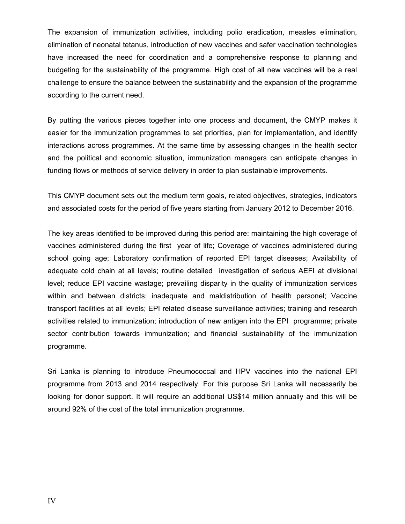The expansion of immunization activities, including polio eradication, measles elimination, elimination of neonatal tetanus, introduction of new vaccines and safer vaccination technologies have increased the need for coordination and a comprehensive response to planning and budgeting for the sustainability of the programme. High cost of all new vaccines will be a real challenge to ensure the balance between the sustainability and the expansion of the programme according to the current need.

By putting the various pieces together into one process and document, the CMYP makes it easier for the immunization programmes to set priorities, plan for implementation, and identify interactions across programmes. At the same time by assessing changes in the health sector and the political and economic situation, immunization managers can anticipate changes in funding flows or methods of service delivery in order to plan sustainable improvements.

This CMYP document sets out the medium term goals, related objectives, strategies, indicators and associated costs for the period of five years starting from January 2012 to December 2016.

The key areas identified to be improved during this period are: maintaining the high coverage of vaccines administered during the first year of life; Coverage of vaccines administered during school going age; Laboratory confirmation of reported EPI target diseases; Availability of adequate cold chain at all levels; routine detailed investigation of serious AEFI at divisional level; reduce EPI vaccine wastage; prevailing disparity in the quality of immunization services within and between districts; inadequate and maldistribution of health personel; Vaccine transport facilities at all levels; EPI related disease surveillance activities; training and research activities related to immunization; introduction of new antigen into the EPI programme; private sector contribution towards immunization; and financial sustainability of the immunization programme.

Sri Lanka is planning to introduce Pneumococcal and HPV vaccines into the national EPI programme from 2013 and 2014 respectively. For this purpose Sri Lanka will necessarily be looking for donor support. It will require an additional US\$14 million annually and this will be around 92% of the cost of the total immunization programme.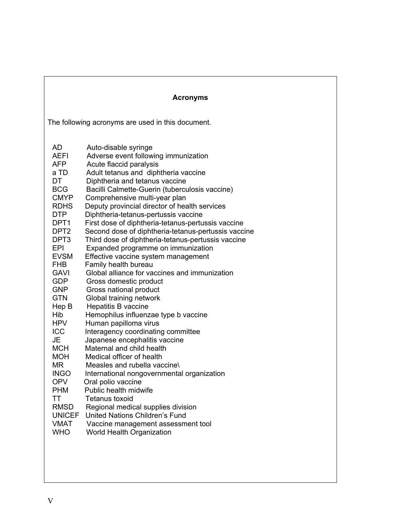|                                                                                                                                                                                                                                                                                                                                                                                                                             | <b>Acronyms</b>                                                                                                                                                                                                                                                                                                                                                                                                                                                                                                                                                                                                                                                                                                                                                                                                                                                                                                                                                                                                                                                                                                                                                                                                                                                                       |
|-----------------------------------------------------------------------------------------------------------------------------------------------------------------------------------------------------------------------------------------------------------------------------------------------------------------------------------------------------------------------------------------------------------------------------|---------------------------------------------------------------------------------------------------------------------------------------------------------------------------------------------------------------------------------------------------------------------------------------------------------------------------------------------------------------------------------------------------------------------------------------------------------------------------------------------------------------------------------------------------------------------------------------------------------------------------------------------------------------------------------------------------------------------------------------------------------------------------------------------------------------------------------------------------------------------------------------------------------------------------------------------------------------------------------------------------------------------------------------------------------------------------------------------------------------------------------------------------------------------------------------------------------------------------------------------------------------------------------------|
|                                                                                                                                                                                                                                                                                                                                                                                                                             | The following acronyms are used in this document.                                                                                                                                                                                                                                                                                                                                                                                                                                                                                                                                                                                                                                                                                                                                                                                                                                                                                                                                                                                                                                                                                                                                                                                                                                     |
| AD<br>AEFI<br>AFP.<br>a TD<br>DT<br><b>BCG</b><br><b>CMYP</b><br><b>RDHS</b><br><b>DTP</b><br>DPT1<br>DPT <sub>2</sub><br>DPT <sub>3</sub><br>EPI<br><b>EVSM</b><br><b>FHB</b><br><b>GAVI</b><br><b>GDP</b><br><b>GNP</b><br><b>GTN</b><br>Hep B<br>Hib<br><b>HPV</b><br>ICC<br>JE<br><b>MCH</b><br><b>MOH</b><br>MR<br><b>INGO</b><br><b>OPV</b><br><b>PHM</b><br>TT<br><b>RMSD</b><br><b>UNICEF</b><br>VMAT<br><b>WHO</b> | Auto-disable syringe<br>Adverse event following immunization<br>Acute flaccid paralysis<br>Adult tetanus and diphtheria vaccine<br>Diphtheria and tetanus vaccine<br>Bacilli Calmette-Guerin (tuberculosis vaccine)<br>Comprehensive multi-year plan<br>Deputy provincial director of health services<br>Diphtheria-tetanus-pertussis vaccine<br>First dose of diphtheria-tetanus-pertussis vaccine<br>Second dose of diphtheria-tetanus-pertussis vaccine<br>Third dose of diphtheria-tetanus-pertussis vaccine<br>Expanded programme on immunization<br>Effective vaccine system management<br>Family health bureau<br>Global alliance for vaccines and immunization<br>Gross domestic product<br>Gross national product<br>Global training network<br>Hepatitis B vaccine<br>Hemophilus influenzae type b vaccine<br>Human papilloma virus<br>Interagency coordinating committee<br>Japanese encephalitis vaccine<br>Maternal and child health<br>Medical officer of health<br>Measles and rubella vaccine<br>International nongovernmental organization<br>Oral polio vaccine<br>Public health midwife<br><b>Tetanus toxoid</b><br>Regional medical supplies division<br><b>United Nations Children's Fund</b><br>Vaccine management assessment tool<br>World Health Organization |
|                                                                                                                                                                                                                                                                                                                                                                                                                             |                                                                                                                                                                                                                                                                                                                                                                                                                                                                                                                                                                                                                                                                                                                                                                                                                                                                                                                                                                                                                                                                                                                                                                                                                                                                                       |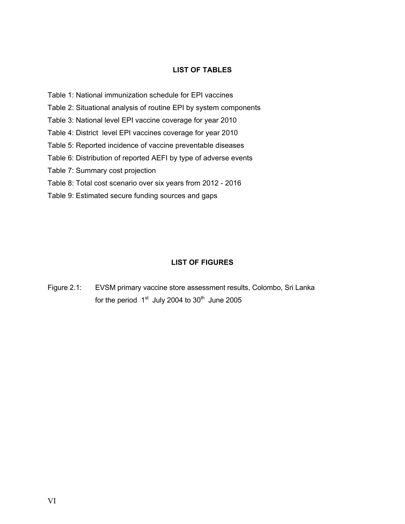# **LIST OF TABLES**

- Table 1: National immunization schedule for EPI vaccines
- Table 2: Situational analysis of routine EPI by system components
- Table 3: National level EPI vaccine coverage for year 2010
- Table 4: District level EPI vaccines coverage for year 2010
- Table 5: Reported incidence of vaccine preventable diseases
- Table 6: Distribution of reported AEFI by type of adverse events
- Table 7: Summary cost projection
- Table 8: Total cost scenario over six years from 2012 2016
- Table 9: Estimated secure funding sources and gaps

## **LIST OF FIGURES**

Figure 2.1: EVSM primary vaccine store assessment results, Colombo, Sri Lanka for the period  $1<sup>st</sup>$  July 2004 to 30<sup>th</sup> June 2005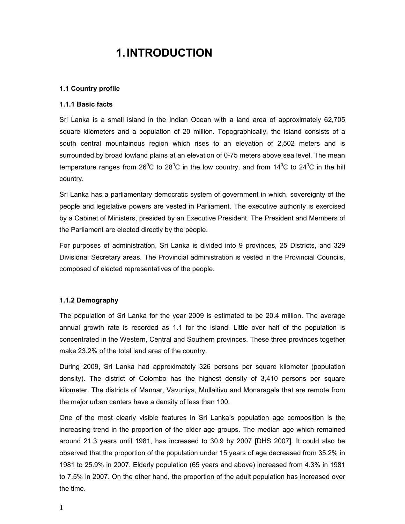# **1. INTRODUCTION**

#### **1.1 Country profile**

#### **1.1.1 Basic facts**

Sri Lanka is a small island in the Indian Ocean with a land area of approximately 62,705 square kilometers and a population of 20 million. Topographically, the island consists of a south central mountainous region which rises to an elevation of 2,502 meters and is surrounded by broad lowland plains at an elevation of 0-75 meters above sea level. The mean temperature ranges from 26<sup>0</sup>C to 28<sup>0</sup>C in the low country, and from 14<sup>0</sup>C to 24<sup>0</sup>C in the hill country.

Sri Lanka has a parliamentary democratic system of government in which, sovereignty of the people and legislative powers are vested in Parliament. The executive authority is exercised by a Cabinet of Ministers, presided by an Executive President. The President and Members of the Parliament are elected directly by the people.

For purposes of administration, Sri Lanka is divided into 9 provinces, 25 Districts, and 329 Divisional Secretary areas. The Provincial administration is vested in the Provincial Councils, composed of elected representatives of the people.

#### **1.1.2 Demography**

The population of Sri Lanka for the year 2009 is estimated to be 20.4 million. The average annual growth rate is recorded as 1.1 for the island. Little over half of the population is concentrated in the Western, Central and Southern provinces. These three provinces together make 23.2% of the total land area of the country.

During 2009, Sri Lanka had approximately 326 persons per square kilometer (population density). The district of Colombo has the highest density of 3,410 persons per square kilometer. The districts of Mannar, Vavuniya, Mullaitivu and Monaragala that are remote from the major urban centers have a density of less than 100.

One of the most clearly visible features in Sri Lanka's population age composition is the increasing trend in the proportion of the older age groups. The median age which remained around 21.3 years until 1981, has increased to 30.9 by 2007 [DHS 2007]. It could also be observed that the proportion of the population under 15 years of age decreased from 35.2% in 1981 to 25.9% in 2007. Elderly population (65 years and above) increased from 4.3% in 1981 to 7.5% in 2007. On the other hand, the proportion of the adult population has increased over the time.

1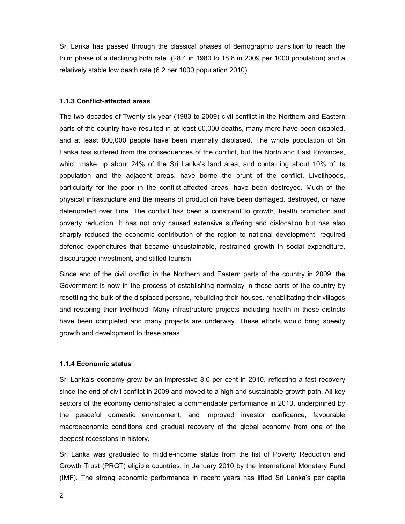Sri Lanka has passed through the classical phases of demographic transition to reach the third phase of a declining birth rate (28.4 in 1980 to 18.8 in 2009 per 1000 population) and a relatively stable low death rate (6.2 per 1000 population 2010).

#### **1.1.3 Conflict-affected areas**

The two decades of Twenty six year (1983 to 2009) civil conflict in the Northern and Eastern parts of the country have resulted in at least 60,000 deaths, many more have been disabled, and at least 800,000 people have been internally displaced. The whole population of Sri Lanka has suffered from the consequences of the conflict, but the North and East Provinces, which make up about 24% of the Sri Lanka's land area, and containing about 10% of its population and the adjacent areas, have borne the brunt of the conflict. Livelihoods, particularly for the poor in the conflict-affected areas, have been destroyed. Much of the physical infrastructure and the means of production have been damaged, destroyed, or have deteriorated over time. The conflict has been a constraint to growth, health promotion and poverty reduction. It has not only caused extensive suffering and dislocation but has also sharply reduced the economic contribution of the region to national development, required defence expenditures that became unsustainable, restrained growth in social expenditure, discouraged investment, and stifled tourism.

Since end of the civil conflict in the Northern and Eastern parts of the country in 2009, the Government is now in the process of establishing normalcy in these parts of the country by resettling the bulk of the displaced persons, rebuilding their houses, rehabilitating their villages and restoring their livelihood. Many infrastructure projects including health in these districts have been completed and many projects are underway. These efforts would bring speedy growth and development to these areas.

#### **1.1.4 Economic status**

Sri Lanka's economy grew by an impressive 8.0 per cent in 2010, reflecting a fast recovery since the end of civil conflict in 2009 and moved to a high and sustainable growth path. All key sectors of the economy demonstrated a commendable performance in 2010, underpinned by the peaceful domestic environment, and improved investor confidence, favourable macroeconomic conditions and gradual recovery of the global economy from one of the deepest recessions in history.

Sri Lanka was graduated to middle-income status from the list of Poverty Reduction and Growth Trust (PRGT) eligible countries, in January 2010 by the International Monetary Fund (IMF). The strong economic performance in recent years has lifted Sri Lanka's per capita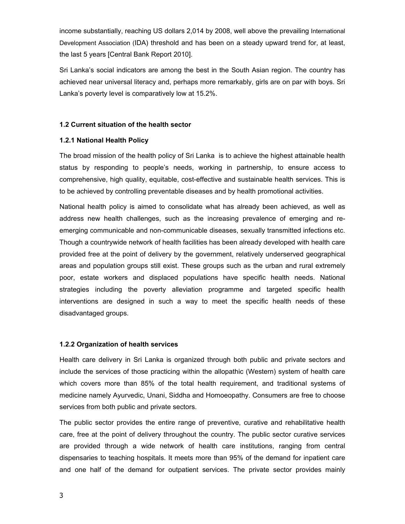income substantially, reaching US dollars 2,014 by 2008, well above the prevailing International Development Association (IDA) threshold and has been on a steady upward trend for, at least, the last 5 years [Central Bank Report 2010].

Sri Lanka's social indicators are among the best in the South Asian region. The country has achieved near universal literacy and, perhaps more remarkably, girls are on par with boys. Sri Lanka's poverty level is comparatively low at 15.2%.

#### **1.2 Current situation of the health sector**

#### **1.2.1 National Health Policy**

The broad mission of the health policy of Sri Lanka is to achieve the highest attainable health status by responding to people's needs, working in partnership, to ensure access to comprehensive, high quality, equitable, cost-effective and sustainable health services. This is to be achieved by controlling preventable diseases and by health promotional activities.

National health policy is aimed to consolidate what has already been achieved, as well as address new health challenges, such as the increasing prevalence of emerging and reemerging communicable and non-communicable diseases, sexually transmitted infections etc. Though a countrywide network of health facilities has been already developed with health care provided free at the point of delivery by the government, relatively underserved geographical areas and population groups still exist. These groups such as the urban and rural extremely poor, estate workers and displaced populations have specific health needs. National strategies including the poverty alleviation programme and targeted specific health interventions are designed in such a way to meet the specific health needs of these disadvantaged groups.

#### **1.2.2 Organization of health services**

Health care delivery in Sri Lanka is organized through both public and private sectors and include the services of those practicing within the allopathic (Western) system of health care which covers more than 85% of the total health requirement, and traditional systems of medicine namely Ayurvedic, Unani, Siddha and Homoeopathy. Consumers are free to choose services from both public and private sectors.

The public sector provides the entire range of preventive, curative and rehabilitative health care, free at the point of delivery throughout the country. The public sector curative services are provided through a wide network of health care institutions, ranging from central dispensaries to teaching hospitals. It meets more than 95% of the demand for inpatient care and one half of the demand for outpatient services. The private sector provides mainly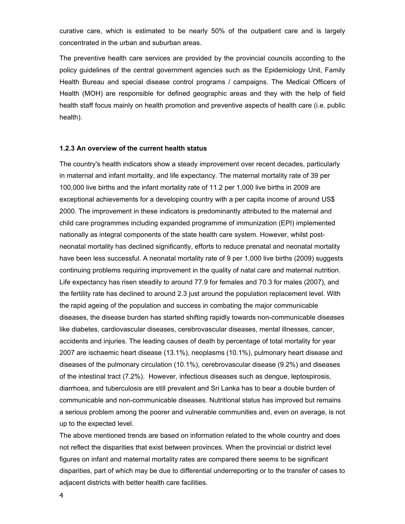curative care, which is estimated to be nearly 50% of the outpatient care and is largely concentrated in the urban and suburban areas.

The preventive health care services are provided by the provincial councils according to the policy guidelines of the central government agencies such as the Epidemiology Unit, Family Health Bureau and special disease control programs / campaigns. The Medical Officers of Health (MOH) are responsible for defined geographic areas and they with the help of field health staff focus mainly on health promotion and preventive aspects of health care (i.e. public health).

#### **1.2.3 An overview of the current health status**

The country's health indicators show a steady improvement over recent decades, particularly in maternal and infant mortality, and life expectancy. The maternal mortality rate of 39 per 100,000 live births and the infant mortality rate of 11.2 per 1,000 live births in 2009 are exceptional achievements for a developing country with a per capita income of around US\$ 2000. The improvement in these indicators is predominantly attributed to the maternal and child care programmes including expanded programme of immunization (EPI) implemented nationally as integral components of the state health care system. However, whilst postneonatal mortality has declined significantly, efforts to reduce prenatal and neonatal mortality have been less successful. A neonatal mortality rate of 9 per 1,000 live births (2009) suggests continuing problems requiring improvement in the quality of natal care and maternal nutrition. Life expectancy has risen steadily to around 77.9 for females and 70.3 for males (2007), and the fertility rate has declined to around 2.3 just around the population replacement level. With the rapid ageing of the population and success in combating the major communicable diseases, the disease burden has started shifting rapidly towards non-communicable diseases like diabetes, cardiovascular diseases, cerebrovascular diseases, mental illnesses, cancer, accidents and injuries. The leading causes of death by percentage of total mortality for year 2007 are ischaemic heart disease (13.1%), neoplasms (10.1%), pulmonary heart disease and diseases of the pulmonary circulation (10.1%), cerebrovascular disease (9.2%) and diseases of the intestinal tract (7.2%). However, infectious diseases such as dengue, leptospirosis, diarrhoea, and tuberculosis are still prevalent and Sri Lanka has to bear a double burden of communicable and non-communicable diseases. Nutritional status has improved but remains a serious problem among the poorer and vulnerable communities and, even on average, is not up to the expected level.

The above mentioned trends are based on information related to the whole country and does not reflect the disparities that exist between provinces. When the provincial or district level figures on infant and maternal mortality rates are compared there seems to be significant disparities, part of which may be due to differential underreporting or to the transfer of cases to adjacent districts with better health care facilities.

4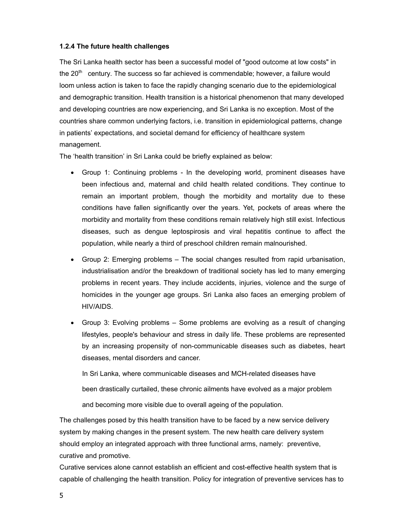#### **1.2.4 The future health challenges**

The Sri Lanka health sector has been a successful model of "good outcome at low costs" in the  $20<sup>th</sup>$  century. The success so far achieved is commendable; however, a failure would loom unless action is taken to face the rapidly changing scenario due to the epidemiological and demographic transition. Health transition is a historical phenomenon that many developed and developing countries are now experiencing, and Sri Lanka is no exception. Most of the countries share common underlying factors, i.e. transition in epidemiological patterns, change in patients' expectations, and societal demand for efficiency of healthcare system management.

The 'health transition' in Sri Lanka could be briefly explained as below:

- Group 1: Continuing problems In the developing world, prominent diseases have been infectious and, maternal and child health related conditions. They continue to remain an important problem, though the morbidity and mortality due to these conditions have fallen significantly over the years. Yet, pockets of areas where the morbidity and mortality from these conditions remain relatively high still exist. Infectious diseases, such as dengue leptospirosis and viral hepatitis continue to affect the population, while nearly a third of preschool children remain malnourished.
- Group 2: Emerging problems The social changes resulted from rapid urbanisation, industrialisation and/or the breakdown of traditional society has led to many emerging problems in recent years. They include accidents, injuries, violence and the surge of homicides in the younger age groups. Sri Lanka also faces an emerging problem of HIV/AIDS.
- Group 3: Evolving problems Some problems are evolving as a result of changing lifestyles, people's behaviour and stress in daily life. These problems are represented by an increasing propensity of non-communicable diseases such as diabetes, heart diseases, mental disorders and cancer.

In Sri Lanka, where communicable diseases and MCH-related diseases have

been drastically curtailed, these chronic ailments have evolved as a major problem

and becoming more visible due to overall ageing of the population.

The challenges posed by this health transition have to be faced by a new service delivery system by making changes in the present system. The new health care delivery system should employ an integrated approach with three functional arms, namely: preventive, curative and promotive.

Curative services alone cannot establish an efficient and cost-effective health system that is capable of challenging the health transition. Policy for integration of preventive services has to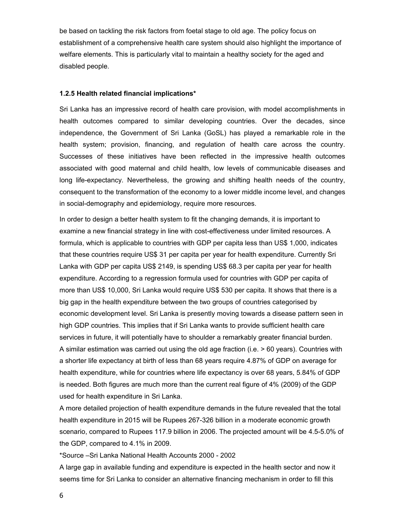be based on tackling the risk factors from foetal stage to old age. The policy focus on establishment of a comprehensive health care system should also highlight the importance of welfare elements. This is particularly vital to maintain a healthy society for the aged and disabled people.

#### **1.2.5 Health related financial implications\***

Sri Lanka has an impressive record of health care provision, with model accomplishments in health outcomes compared to similar developing countries. Over the decades, since independence, the Government of Sri Lanka (GoSL) has played a remarkable role in the health system; provision, financing, and regulation of health care across the country. Successes of these initiatives have been reflected in the impressive health outcomes associated with good maternal and child health, low levels of communicable diseases and long life-expectancy. Nevertheless, the growing and shifting health needs of the country, consequent to the transformation of the economy to a lower middle income level, and changes in social-demography and epidemiology, require more resources.

In order to design a better health system to fit the changing demands, it is important to examine a new financial strategy in line with cost-effectiveness under limited resources. A formula, which is applicable to countries with GDP per capita less than US\$ 1,000, indicates that these countries require US\$ 31 per capita per year for health expenditure. Currently Sri Lanka with GDP per capita US\$ 2149, is spending US\$ 68.3 per capita per year for health expenditure. According to a regression formula used for countries with GDP per capita of more than US\$ 10,000, Sri Lanka would require US\$ 530 per capita. It shows that there is a big gap in the health expenditure between the two groups of countries categorised by economic development level. Sri Lanka is presently moving towards a disease pattern seen in high GDP countries. This implies that if Sri Lanka wants to provide sufficient health care services in future, it will potentially have to shoulder a remarkably greater financial burden. A similar estimation was carried out using the old age fraction (i.e. > 60 years). Countries with a shorter life expectancy at birth of less than 68 years require 4.87% of GDP on average for health expenditure, while for countries where life expectancy is over 68 years, 5.84% of GDP is needed. Both figures are much more than the current real figure of 4% (2009) of the GDP used for health expenditure in Sri Lanka.

A more detailed projection of health expenditure demands in the future revealed that the total health expenditure in 2015 will be Rupees 267-326 billion in a moderate economic growth scenario, compared to Rupees 117.9 billion in 2006. The projected amount will be 4.5-5.0% of the GDP, compared to 4.1% in 2009.

\*Source –Sri Lanka National Health Accounts 2000 - 2002

A large gap in available funding and expenditure is expected in the health sector and now it seems time for Sri Lanka to consider an alternative financing mechanism in order to fill this

6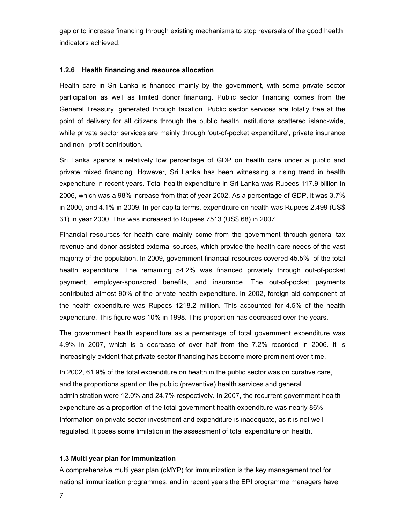gap or to increase financing through existing mechanisms to stop reversals of the good health indicators achieved.

#### **1.2.6 Health financing and resource allocation**

Health care in Sri Lanka is financed mainly by the government, with some private sector participation as well as limited donor financing. Public sector financing comes from the General Treasury, generated through taxation. Public sector services are totally free at the point of delivery for all citizens through the public health institutions scattered island-wide, while private sector services are mainly through 'out-of-pocket expenditure', private insurance and non- profit contribution.

Sri Lanka spends a relatively low percentage of GDP on health care under a public and private mixed financing. However, Sri Lanka has been witnessing a rising trend in health expenditure in recent years. Total health expenditure in Sri Lanka was Rupees 117.9 billion in 2006, which was a 98% increase from that of year 2002. As a percentage of GDP, it was 3.7% in 2000, and 4.1% in 2009. In per capita terms, expenditure on health was Rupees 2,499 (US\$ 31) in year 2000. This was increased to Rupees 7513 (US\$ 68) in 2007.

Financial resources for health care mainly come from the government through general tax revenue and donor assisted external sources, which provide the health care needs of the vast majority of the population. In 2009, government financial resources covered 45.5% of the total health expenditure. The remaining 54.2% was financed privately through out-of-pocket payment, employer-sponsored benefits, and insurance. The out-of-pocket payments contributed almost 90% of the private health expenditure. In 2002, foreign aid component of the health expenditure was Rupees 1218.2 million. This accounted for 4.5% of the health expenditure. This figure was 10% in 1998. This proportion has decreased over the years.

The government health expenditure as a percentage of total government expenditure was 4.9% in 2007, which is a decrease of over half from the 7.2% recorded in 2006. It is increasingly evident that private sector financing has become more prominent over time.

In 2002, 61.9% of the total expenditure on health in the public sector was on curative care, and the proportions spent on the public (preventive) health services and general administration were 12.0% and 24.7% respectively. In 2007, the recurrent government health expenditure as a proportion of the total government health expenditure was nearly 86%. Information on private sector investment and expenditure is inadequate, as it is not well regulated. It poses some limitation in the assessment of total expenditure on health.

#### **1.3 Multi year plan for immunization**

A comprehensive multi year plan (cMYP) for immunization is the key management tool for national immunization programmes, and in recent years the EPI programme managers have

7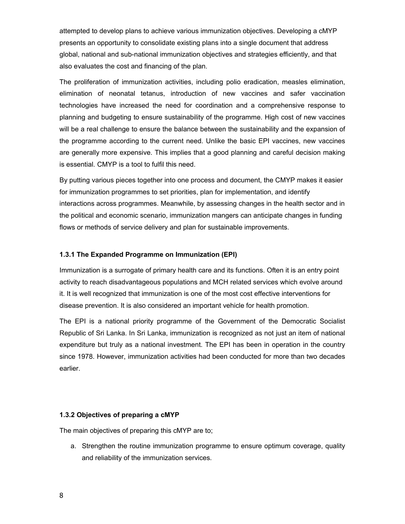attempted to develop plans to achieve various immunization objectives. Developing a cMYP presents an opportunity to consolidate existing plans into a single document that address global, national and sub-national immunization objectives and strategies efficiently, and that also evaluates the cost and financing of the plan.

The proliferation of immunization activities, including polio eradication, measles elimination, elimination of neonatal tetanus, introduction of new vaccines and safer vaccination technologies have increased the need for coordination and a comprehensive response to planning and budgeting to ensure sustainability of the programme. High cost of new vaccines will be a real challenge to ensure the balance between the sustainability and the expansion of the programme according to the current need. Unlike the basic EPI vaccines, new vaccines are generally more expensive. This implies that a good planning and careful decision making is essential. CMYP is a tool to fulfil this need.

By putting various pieces together into one process and document, the CMYP makes it easier for immunization programmes to set priorities, plan for implementation, and identify interactions across programmes. Meanwhile, by assessing changes in the health sector and in the political and economic scenario, immunization mangers can anticipate changes in funding flows or methods of service delivery and plan for sustainable improvements.

#### **1.3.1 The Expanded Programme on Immunization (EPI)**

Immunization is a surrogate of primary health care and its functions. Often it is an entry point activity to reach disadvantageous populations and MCH related services which evolve around it. It is well recognized that immunization is one of the most cost effective interventions for disease prevention. It is also considered an important vehicle for health promotion.

The EPI is a national priority programme of the Government of the Democratic Socialist Republic of Sri Lanka. In Sri Lanka, immunization is recognized as not just an item of national expenditure but truly as a national investment. The EPI has been in operation in the country since 1978. However, immunization activities had been conducted for more than two decades earlier.

#### **1.3.2 Objectives of preparing a cMYP**

The main objectives of preparing this cMYP are to;

a. Strengthen the routine immunization programme to ensure optimum coverage, quality and reliability of the immunization services.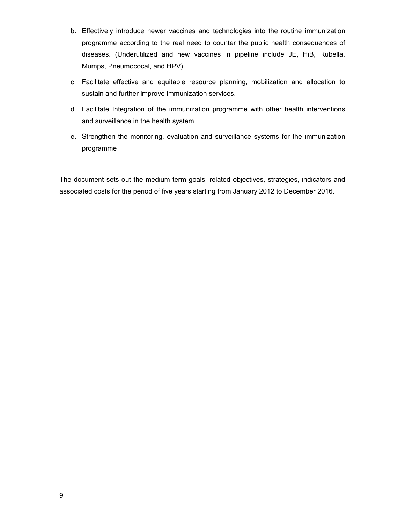- b. Effectively introduce newer vaccines and technologies into the routine immunization programme according to the real need to counter the public health consequences of diseases. (Underutilized and new vaccines in pipeline include JE, HiB, Rubella, Mumps, Pneumococal, and HPV)
- c. Facilitate effective and equitable resource planning, mobilization and allocation to sustain and further improve immunization services.
- d. Facilitate Integration of the immunization programme with other health interventions and surveillance in the health system.
- e. Strengthen the monitoring, evaluation and surveillance systems for the immunization programme

The document sets out the medium term goals, related objectives, strategies, indicators and associated costs for the period of five years starting from January 2012 to December 2016.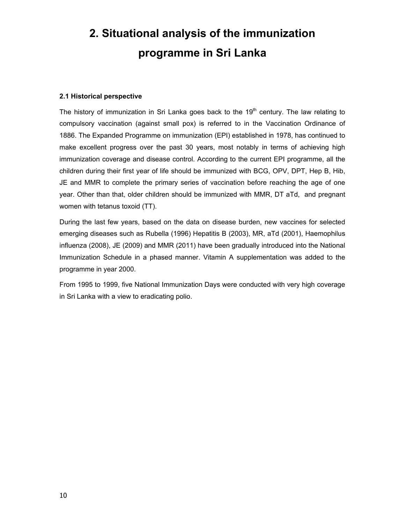# **2. Situational analysis of the immunization programme in Sri Lanka**

#### **2.1 Historical perspective**

The history of immunization in Sri Lanka goes back to the 19<sup>th</sup> century. The law relating to compulsory vaccination (against small pox) is referred to in the Vaccination Ordinance of 1886. The Expanded Programme on immunization (EPI) established in 1978, has continued to make excellent progress over the past 30 years, most notably in terms of achieving high immunization coverage and disease control. According to the current EPI programme, all the children during their first year of life should be immunized with BCG, OPV, DPT, Hep B, Hib, JE and MMR to complete the primary series of vaccination before reaching the age of one year. Other than that, older children should be immunized with MMR, DT aTd, and pregnant women with tetanus toxoid (TT).

During the last few years, based on the data on disease burden, new vaccines for selected emerging diseases such as Rubella (1996) Hepatitis B (2003), MR, aTd (2001), Haemophilus influenza (2008), JE (2009) and MMR (2011) have been gradually introduced into the National Immunization Schedule in a phased manner. Vitamin A supplementation was added to the programme in year 2000.

From 1995 to 1999, five National Immunization Days were conducted with very high coverage in Sri Lanka with a view to eradicating polio.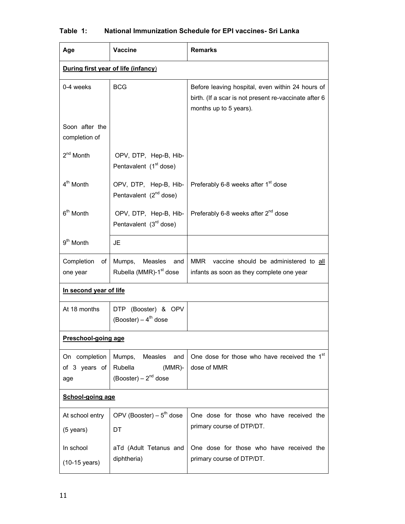| Age                                   | <b>Vaccine</b>                                                                | <b>Remarks</b>                                                                                                                      |  |  |  |  |
|---------------------------------------|-------------------------------------------------------------------------------|-------------------------------------------------------------------------------------------------------------------------------------|--|--|--|--|
|                                       | During first year of life (infancy)                                           |                                                                                                                                     |  |  |  |  |
| 0-4 weeks                             | <b>BCG</b>                                                                    | Before leaving hospital, even within 24 hours of<br>birth. (If a scar is not present re-vaccinate after 6<br>months up to 5 years). |  |  |  |  |
| Soon after the<br>completion of       |                                                                               |                                                                                                                                     |  |  |  |  |
| $2nd$ Month                           | OPV, DTP, Hep-B, Hib-<br>Pentavalent (1 <sup>st</sup> dose)                   |                                                                                                                                     |  |  |  |  |
| 4 <sup>th</sup> Month                 | OPV, DTP, Hep-B, Hib-<br>Pentavalent $(2^{nd}$ dose)                          | Preferably 6-8 weeks after 1 <sup>st</sup> dose                                                                                     |  |  |  |  |
| 6 <sup>th</sup> Month                 | OPV, DTP, Hep-B, Hib-<br>Pentavalent $(3rd$ dose)                             | Preferably 6-8 weeks after $2^{nd}$ dose                                                                                            |  |  |  |  |
| $9th$ Month                           | JE                                                                            |                                                                                                                                     |  |  |  |  |
| Completion<br>of<br>one year          | Mumps,<br>Measles<br>and<br>Rubella (MMR)-1 <sup>st</sup> dose                | MMR<br>vaccine should be administered to all<br>infants as soon as they complete one year                                           |  |  |  |  |
| In second year of life                |                                                                               |                                                                                                                                     |  |  |  |  |
| At 18 months                          | DTP (Booster) & OPV<br>$(Booster) - 4th dose$                                 |                                                                                                                                     |  |  |  |  |
| <u>Preschool-going age</u>            |                                                                               |                                                                                                                                     |  |  |  |  |
| On completion<br>of 3 years of<br>age | Measles<br>Mumps,<br>and<br>$(MMR)$ -<br>Rubella<br>(Booster) – $2^{nd}$ dose | One dose for those who have received the 1st<br>dose of MMR                                                                         |  |  |  |  |
| School-going age                      |                                                                               |                                                                                                                                     |  |  |  |  |
| At school entry<br>$(5$ years)        | OPV (Booster) – $5^{th}$ dose<br>DT                                           | One dose for those who have received the<br>primary course of DTP/DT.                                                               |  |  |  |  |
| In school<br>(10-15 years)            | aTd (Adult Tetanus and<br>diphtheria)                                         | One dose for those who have received the<br>primary course of DTP/DT.                                                               |  |  |  |  |

# **Table 1: National Immunization Schedule for EPI vaccines- Sri Lanka**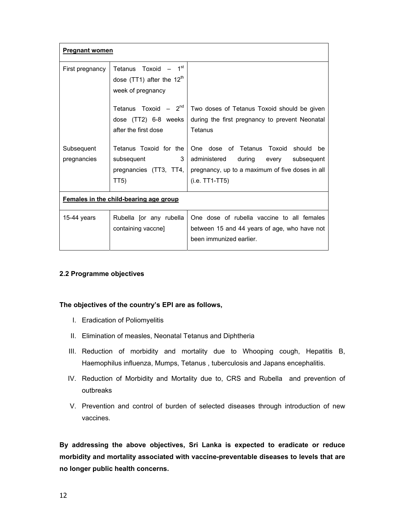| <b>Pregnant women</b>                  |                                                                     |                                                 |  |  |
|----------------------------------------|---------------------------------------------------------------------|-------------------------------------------------|--|--|
| First pregnancy                        | 1 <sup>st</sup><br>Tetanus Toxoid<br>dose (TT1) after the $12^{th}$ |                                                 |  |  |
|                                        | week of pregnancy                                                   |                                                 |  |  |
|                                        | Tetanus Toxoid $-2^{nd}$                                            | Two doses of Tetanus Toxoid should be given     |  |  |
|                                        | dose (TT2) 6-8 weeks                                                | during the first pregnancy to prevent Neonatal  |  |  |
|                                        | after the first dose                                                | Tetanus                                         |  |  |
| Subsequent                             | Tetanus Toxoid for the                                              | One dose of Tetanus Toxoid should<br>be         |  |  |
| pregnancies                            | 3<br>subsequent                                                     | administered<br>during<br>subsequent<br>every   |  |  |
|                                        | pregnancies (TT3, TT4,                                              | pregnancy, up to a maximum of five doses in all |  |  |
|                                        | TT5)                                                                | $(i.e. TTT1-TT5)$                               |  |  |
| Females in the child-bearing age group |                                                                     |                                                 |  |  |
| 15-44 years                            | Rubella [or any rubella                                             | One dose of rubella vaccine to all females      |  |  |
|                                        | containing vaccne]                                                  | between 15 and 44 years of age, who have not    |  |  |
|                                        |                                                                     | been immunized earlier.                         |  |  |

### **2.2 Programme objectives**

#### **The objectives of the country's EPI are as follows,**

- I. Eradication of Poliomyelitis
- II. Elimination of measles, Neonatal Tetanus and Diphtheria
- III. Reduction of morbidity and mortality due to Whooping cough, Hepatitis B, Haemophilus influenza, Mumps, Tetanus , tuberculosis and Japans encephalitis.
- IV. Reduction of Morbidity and Mortality due to, CRS and Rubella and prevention of outbreaks
- V. Prevention and control of burden of selected diseases through introduction of new vaccines.

**By addressing the above objectives, Sri Lanka is expected to eradicate or reduce morbidity and mortality associated with vaccine-preventable diseases to levels that are no longer public health concerns.**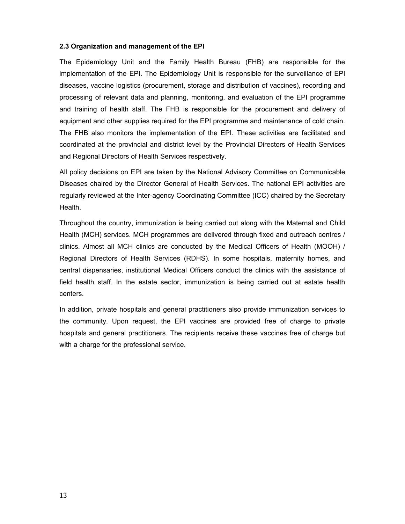#### **2.3 Organization and management of the EPI**

The Epidemiology Unit and the Family Health Bureau (FHB) are responsible for the implementation of the EPI. The Epidemiology Unit is responsible for the surveillance of EPI diseases, vaccine logistics (procurement, storage and distribution of vaccines), recording and processing of relevant data and planning, monitoring, and evaluation of the EPI programme and training of health staff. The FHB is responsible for the procurement and delivery of equipment and other supplies required for the EPI programme and maintenance of cold chain. The FHB also monitors the implementation of the EPI. These activities are facilitated and coordinated at the provincial and district level by the Provincial Directors of Health Services and Regional Directors of Health Services respectively.

All policy decisions on EPI are taken by the National Advisory Committee on Communicable Diseases chaired by the Director General of Health Services. The national EPI activities are regularly reviewed at the Inter-agency Coordinating Committee (ICC) chaired by the Secretary Health.

Throughout the country, immunization is being carried out along with the Maternal and Child Health (MCH) services. MCH programmes are delivered through fixed and outreach centres / clinics. Almost all MCH clinics are conducted by the Medical Officers of Health (MOOH) / Regional Directors of Health Services (RDHS). In some hospitals, maternity homes, and central dispensaries, institutional Medical Officers conduct the clinics with the assistance of field health staff. In the estate sector, immunization is being carried out at estate health centers.

In addition, private hospitals and general practitioners also provide immunization services to the community. Upon request, the EPI vaccines are provided free of charge to private hospitals and general practitioners. The recipients receive these vaccines free of charge but with a charge for the professional service.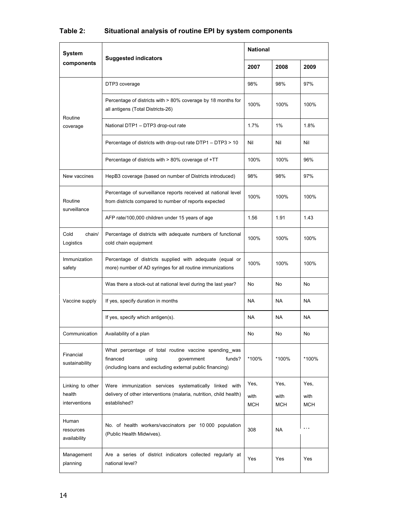| <b>System</b>                               | <b>Suggested indicators</b>                                                                                                                                               | <b>National</b>            |                     |                     |
|---------------------------------------------|---------------------------------------------------------------------------------------------------------------------------------------------------------------------------|----------------------------|---------------------|---------------------|
| components                                  |                                                                                                                                                                           | 2007                       | 2008                | 2009                |
|                                             | DTP3 coverage                                                                                                                                                             | 98%                        | 98%                 | 97%                 |
| Routine<br>coverage<br>New vaccines         | Percentage of districts with > 80% coverage by 18 months for<br>all antigens (Total Districts-26)                                                                         | 100%                       | 100%                | 100%                |
|                                             | National DTP1 - DTP3 drop-out rate                                                                                                                                        | 1.7%                       | 1%                  | 1.8%                |
| Routine<br>surveillance                     | Percentage of districts with drop-out rate DTP1 - DTP3 > 10<br>Nil                                                                                                        |                            | Nil                 | Nil                 |
|                                             | 100%<br>Percentage of districts with $> 80\%$ coverage of $+TT$                                                                                                           |                            | 100%                | 96%                 |
|                                             | HepB3 coverage (based on number of Districts introduced)                                                                                                                  | 98%                        | 98%                 | 97%                 |
|                                             | Percentage of surveillance reports received at national level<br>from districts compared to number of reports expected<br>AFP rate/100,000 children under 15 years of age |                            | 100%                | 100%                |
|                                             |                                                                                                                                                                           |                            | 1.91                | 1.43                |
| Cold<br>chain/<br>Logistics                 | Percentage of districts with adequate numbers of functional<br>cold chain equipment                                                                                       | 100%                       | 100%                | 100%                |
| Immunization<br>safety                      | Percentage of districts supplied with adequate (equal or<br>more) number of AD syringes for all routine immunizations                                                     | 100%                       | 100%                | 100%                |
|                                             | Was there a stock-out at national level during the last year?                                                                                                             | No                         | No                  | No                  |
| Vaccine supply                              | If yes, specify duration in months                                                                                                                                        |                            | <b>NA</b>           | <b>NA</b>           |
|                                             | If yes, specify which antigen(s).                                                                                                                                         | <b>NA</b>                  | <b>NA</b>           | NA.                 |
| Communication                               | Availability of a plan                                                                                                                                                    | No                         | No                  | No                  |
| Financial<br>sustainability                 | What percentage of total routine vaccine spending was<br>financed<br>usina<br>government<br>funds?<br>(including loans and excluding external public financing)           | *100%                      | *100%               | *100%               |
| Linking to other<br>health<br>interventions | Were immunization services systematically linked with<br>delivery of other interventions (malaria, nutrition, child health)<br>established?                               | Yes,<br>with<br><b>MCH</b> | Yes,<br>with<br>MCH | Yes.<br>with<br>МСН |
| Human<br>resources<br>availability          | No. of health workers/vaccinators per 10 000 population<br>(Public Health Midwives).                                                                                      | 308                        | <b>NA</b>           | .                   |
| Management<br>planning                      | Are a series of district indicators collected regularly at<br>national level?                                                                                             | Yes                        | Yes                 | Yes                 |

# **Table 2: Situational analysis of routine EPI by system components**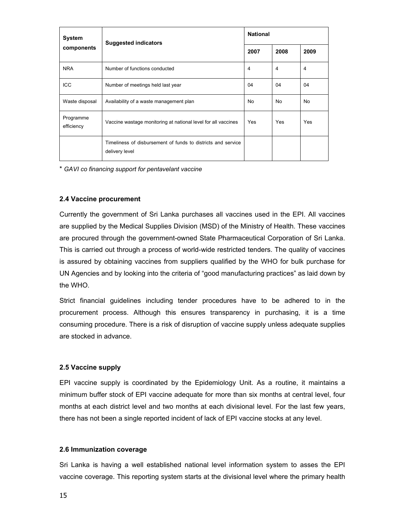| System                  | <b>Suggested indicators</b>                                                    | <b>National</b> |      |                |  |
|-------------------------|--------------------------------------------------------------------------------|-----------------|------|----------------|--|
| components              |                                                                                |                 | 2008 | 2009           |  |
| <b>NRA</b>              | Number of functions conducted                                                  | 4               | 4    | $\overline{4}$ |  |
| <b>ICC</b>              | Number of meetings held last year                                              | 04              | 04   | 04             |  |
| Waste disposal          | Availability of a waste management plan                                        | <b>No</b>       | No   | <b>No</b>      |  |
| Programme<br>efficiency | Vaccine wastage monitoring at national level for all vaccines                  | Yes             | Yes  | Yes            |  |
|                         | Timeliness of disbursement of funds to districts and service<br>delivery level |                 |      |                |  |

\* *GAVI co financing support for pentavelant vaccine* 

#### **2.4 Vaccine procurement**

Currently the government of Sri Lanka purchases all vaccines used in the EPI. All vaccines are supplied by the Medical Supplies Division (MSD) of the Ministry of Health. These vaccines are procured through the government-owned State Pharmaceutical Corporation of Sri Lanka. This is carried out through a process of world-wide restricted tenders. The quality of vaccines is assured by obtaining vaccines from suppliers qualified by the WHO for bulk purchase for UN Agencies and by looking into the criteria of "good manufacturing practices" as laid down by the WHO.

Strict financial guidelines including tender procedures have to be adhered to in the procurement process. Although this ensures transparency in purchasing, it is a time consuming procedure. There is a risk of disruption of vaccine supply unless adequate supplies are stocked in advance.

#### **2.5 Vaccine supply**

EPI vaccine supply is coordinated by the Epidemiology Unit. As a routine, it maintains a minimum buffer stock of EPI vaccine adequate for more than six months at central level, four months at each district level and two months at each divisional level. For the last few years, there has not been a single reported incident of lack of EPI vaccine stocks at any level.

#### **2.6 Immunization coverage**

Sri Lanka is having a well established national level information system to asses the EPI vaccine coverage. This reporting system starts at the divisional level where the primary health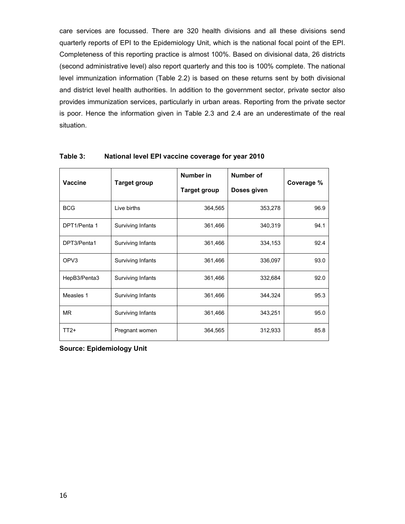care services are focussed. There are 320 health divisions and all these divisions send quarterly reports of EPI to the Epidemiology Unit, which is the national focal point of the EPI. Completeness of this reporting practice is almost 100%. Based on divisional data, 26 districts (second administrative level) also report quarterly and this too is 100% complete. The national level immunization information (Table 2.2) is based on these returns sent by both divisional and district level health authorities. In addition to the government sector, private sector also provides immunization services, particularly in urban areas. Reporting from the private sector is poor. Hence the information given in Table 2.3 and 2.4 are an underestimate of the real situation.

| <b>Vaccine</b>   |                     | Number in           | Number of   |            |  |
|------------------|---------------------|---------------------|-------------|------------|--|
|                  | <b>Target group</b> | <b>Target group</b> | Doses given | Coverage % |  |
| <b>BCG</b>       | Live births         | 364,565             | 353,278     | 96.9       |  |
| DPT1/Penta 1     | Surviving Infants   | 361,466             | 340,319     | 94.1       |  |
| DPT3/Penta1      | Surviving Infants   | 361,466             | 334,153     | 92.4       |  |
| OPV <sub>3</sub> | Surviving Infants   | 361,466             | 336,097     | 93.0       |  |
| HepB3/Penta3     | Surviving Infants   | 361,466             | 332,684     | 92.0       |  |
| Measles 1        | Surviving Infants   | 361,466             | 344,324     | 95.3       |  |
| <b>MR</b>        | Surviving Infants   | 361,466             | 343,251     | 95.0       |  |
| $TT2+$           | Pregnant women      | 364,565             | 312,933     | 85.8       |  |

#### **Table 3: National level EPI vaccine coverage for year 2010**

**Source: Epidemiology Unit**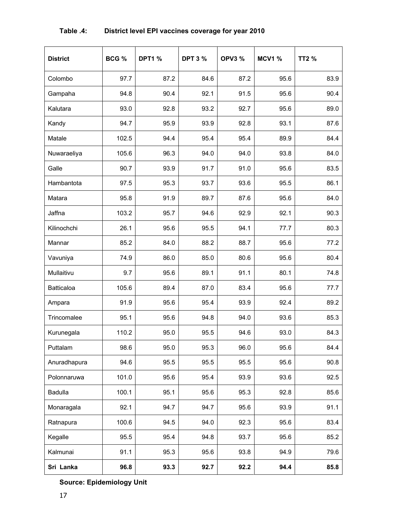| <b>District</b>   | BCG % | <b>DPT1 %</b> | <b>DPT 3 %</b> | <b>OPV3 %</b> | <b>MCV1 %</b> | <b>TT2 %</b> |
|-------------------|-------|---------------|----------------|---------------|---------------|--------------|
| Colombo           | 97.7  | 87.2          | 84.6           | 87.2          | 95.6          | 83.9         |
| Gampaha           | 94.8  | 90.4          | 92.1           | 91.5          | 95.6          | 90.4         |
| Kalutara          | 93.0  | 92.8          | 93.2           | 92.7          | 95.6          | 89.0         |
| Kandy             | 94.7  | 95.9          | 93.9           | 92.8          | 93.1          | 87.6         |
| Matale            | 102.5 | 94.4          | 95.4           | 95.4          | 89.9          | 84.4         |
| Nuwaraeliya       | 105.6 | 96.3          | 94.0           | 94.0          | 93.8          | 84.0         |
| Galle             | 90.7  | 93.9          | 91.7           | 91.0          | 95.6          | 83.5         |
| Hambantota        | 97.5  | 95.3          | 93.7           | 93.6          | 95.5          | 86.1         |
| Matara            | 95.8  | 91.9          | 89.7           | 87.6          | 95.6          | 84.0         |
| Jaffna            | 103.2 | 95.7          | 94.6           | 92.9          | 92.1          | 90.3         |
| Kilinochchi       | 26.1  | 95.6          | 95.5           | 94.1          | 77.7          | 80.3         |
| Mannar            | 85.2  | 84.0          | 88.2           | 88.7          | 95.6          | 77.2         |
| Vavuniya          | 74.9  | 86.0          | 85.0           | 80.6          | 95.6          | 80.4         |
| Mullaitivu        | 9.7   | 95.6          | 89.1           | 91.1          | 80.1          | 74.8         |
| <b>Batticaloa</b> | 105.6 | 89.4          | 87.0           | 83.4          | 95.6          | 77.7         |
| Ampara            | 91.9  | 95.6          | 95.4           | 93.9          | 92.4          | 89.2         |
| Trincomalee       | 95.1  | 95.6          | 94.8           | 94.0          | 93.6          | 85.3         |
| Kurunegala        | 110.2 | 95.0          | 95.5           | 94.6          | 93.0          | 84.3         |
| Puttalam          | 98.6  | 95.0          | 95.3           | 96.0          | 95.6          | 84.4         |
| Anuradhapura      | 94.6  | 95.5          | 95.5           | 95.5          | 95.6          | 90.8         |
| Polonnaruwa       | 101.0 | 95.6          | 95.4           | 93.9          | 93.6          | 92.5         |
| Badulla           | 100.1 | 95.1          | 95.6           | 95.3          | 92.8          | 85.6         |
| Monaragala        | 92.1  | 94.7          | 94.7           | 95.6          | 93.9          | 91.1         |
| Ratnapura         | 100.6 | 94.5          | 94.0           | 92.3          | 95.6          | 83.4         |
| Kegalle           | 95.5  | 95.4          | 94.8           | 93.7          | 95.6          | 85.2         |
| Kalmunai          | 91.1  | 95.3          | 95.6           | 93.8          | 94.9          | 79.6         |
| Sri Lanka         | 96.8  | 93.3          | 92.7           | 92.2          | 94.4          | 85.8         |

# **Table .4: District level EPI vaccines coverage for year 2010**

**Source: Epidemiology Unit**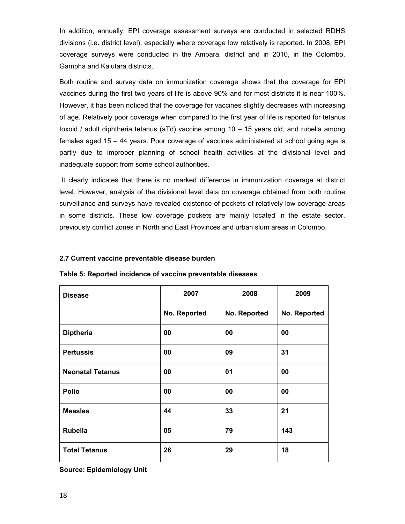In addition, annually, EPI coverage assessment surveys are conducted in selected RDHS divisions (i.e. district level), especially where coverage low relatively is reported. In 2008, EPI coverage surveys were conducted in the Ampara, district and in 2010, in the Colombo, Gampha and Kalutara districts.

Both routine and survey data on immunization coverage shows that the coverage for EPI vaccines during the first two years of life is above 90% and for most districts it is near 100%. However, it has been noticed that the coverage for vaccines slightly decreases with increasing of age. Relatively poor coverage when compared to the first year of life is reported for tetanus toxoid / adult diphtheria tetanus (aTd) vaccine among 10 – 15 years old, and rubella among females aged 15 – 44 years. Poor coverage of vaccines administered at school going age is partly due to improper planning of school health activities at the divisional level and inadequate support from some school authorities.

 It clearly indicates that there is no marked difference in immunization coverage at district level. However, analysis of the divisional level data on coverage obtained from both routine surveillance and surveys have revealed existence of pockets of relatively low coverage areas in some districts. These low coverage pockets are mainly located in the estate sector, previously conflict zones in North and East Provinces and urban slum areas in Colombo.

#### **2.7 Current vaccine preventable disease burden**

| <b>Disease</b>          | 2007         | 2008         |              |
|-------------------------|--------------|--------------|--------------|
|                         | No. Reported | No. Reported | No. Reported |
| <b>Diptheria</b>        | 00           | 00           | 00           |
| <b>Pertussis</b>        | 00           | 09           | 31           |
| <b>Neonatal Tetanus</b> | 00           | 01           | 00           |
| <b>Polio</b>            | 00           | 00           | 00           |
| <b>Measles</b>          | 44           | 33           | 21           |
| <b>Rubella</b>          | 05           | 79           | 143          |
| <b>Total Tetanus</b>    | 26           | 29           | 18           |

**Table 5: Reported incidence of vaccine preventable diseases** 

**Source: Epidemiology Unit**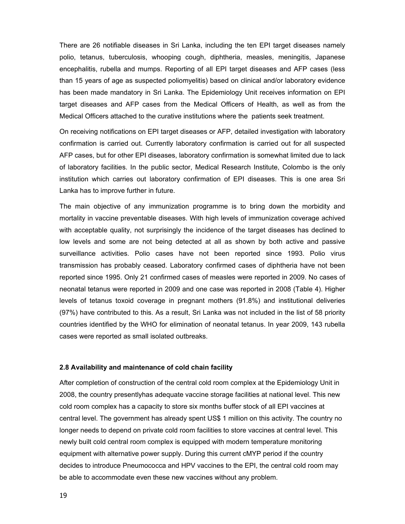There are 26 notifiable diseases in Sri Lanka, including the ten EPI target diseases namely polio, tetanus, tuberculosis, whooping cough, diphtheria, measles, meningitis, Japanese encephalitis, rubella and mumps. Reporting of all EPI target diseases and AFP cases (less than 15 years of age as suspected poliomyelitis) based on clinical and/or laboratory evidence has been made mandatory in Sri Lanka. The Epidemiology Unit receives information on EPI target diseases and AFP cases from the Medical Officers of Health, as well as from the Medical Officers attached to the curative institutions where the patients seek treatment.

On receiving notifications on EPI target diseases or AFP, detailed investigation with laboratory confirmation is carried out. Currently laboratory confirmation is carried out for all suspected AFP cases, but for other EPI diseases, laboratory confirmation is somewhat limited due to lack of laboratory facilities. In the public sector, Medical Research Institute, Colombo is the only institution which carries out laboratory confirmation of EPI diseases. This is one area Sri Lanka has to improve further in future.

The main objective of any immunization programme is to bring down the morbidity and mortality in vaccine preventable diseases. With high levels of immunization coverage achived with acceptable quality, not surprisingly the incidence of the target diseases has declined to low levels and some are not being detected at all as shown by both active and passive surveillance activities. Polio cases have not been reported since 1993. Polio virus transmission has probably ceased. Laboratory confirmed cases of diphtheria have not been reported since 1995. Only 21 confirmed cases of measles were reported in 2009. No cases of neonatal tetanus were reported in 2009 and one case was reported in 2008 (Table 4). Higher levels of tetanus toxoid coverage in pregnant mothers (91.8%) and institutional deliveries (97%) have contributed to this. As a result, Sri Lanka was not included in the list of 58 priority countries identified by the WHO for elimination of neonatal tetanus. In year 2009, 143 rubella cases were reported as small isolated outbreaks.

#### **2.8 Availability and maintenance of cold chain facility**

After completion of construction of the central cold room complex at the Epidemiology Unit in 2008, the country presentlyhas adequate vaccine storage facilities at national level. This new cold room complex has a capacity to store six months buffer stock of all EPI vaccines at central level. The government has already spent US\$ 1 million on this activity. The country no longer needs to depend on private cold room facilities to store vaccines at central level. This newly built cold central room complex is equipped with modern temperature monitoring equipment with alternative power supply. During this current cMYP period if the country decides to introduce Pneumococca and HPV vaccines to the EPI, the central cold room may be able to accommodate even these new vaccines without any problem.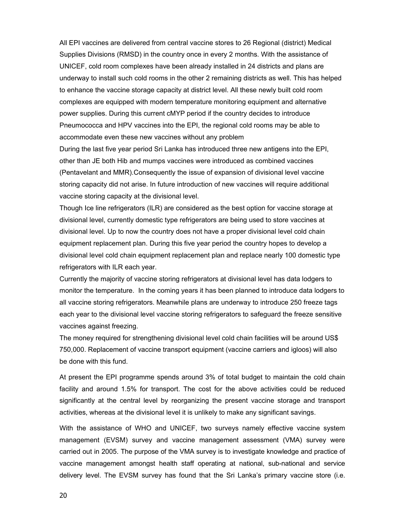All EPI vaccines are delivered from central vaccine stores to 26 Regional (district) Medical Supplies Divisions (RMSD) in the country once in every 2 months. With the assistance of UNICEF, cold room complexes have been already installed in 24 districts and plans are underway to install such cold rooms in the other 2 remaining districts as well. This has helped to enhance the vaccine storage capacity at district level. All these newly built cold room complexes are equipped with modern temperature monitoring equipment and alternative power supplies. During this current cMYP period if the country decides to introduce Pneumococca and HPV vaccines into the EPI, the regional cold rooms may be able to accommodate even these new vaccines without any problem

During the last five year period Sri Lanka has introduced three new antigens into the EPI, other than JE both Hib and mumps vaccines were introduced as combined vaccines (Pentavelant and MMR).Consequently the issue of expansion of divisional level vaccine storing capacity did not arise. In future introduction of new vaccines will require additional vaccine storing capacity at the divisional level.

Though Ice line refrigerators (ILR) are considered as the best option for vaccine storage at divisional level, currently domestic type refrigerators are being used to store vaccines at divisional level. Up to now the country does not have a proper divisional level cold chain equipment replacement plan. During this five year period the country hopes to develop a divisional level cold chain equipment replacement plan and replace nearly 100 domestic type refrigerators with ILR each year.

Currently the majority of vaccine storing refrigerators at divisional level has data lodgers to monitor the temperature. In the coming years it has been planned to introduce data lodgers to all vaccine storing refrigerators. Meanwhile plans are underway to introduce 250 freeze tags each year to the divisional level vaccine storing refrigerators to safeguard the freeze sensitive vaccines against freezing.

The money required for strengthening divisional level cold chain facilities will be around US\$ 750,000. Replacement of vaccine transport equipment (vaccine carriers and igloos) will also be done with this fund.

At present the EPI programme spends around 3% of total budget to maintain the cold chain facility and around 1.5% for transport. The cost for the above activities could be reduced significantly at the central level by reorganizing the present vaccine storage and transport activities, whereas at the divisional level it is unlikely to make any significant savings.

With the assistance of WHO and UNICEF, two surveys namely effective vaccine system management (EVSM) survey and vaccine management assessment (VMA) survey were carried out in 2005. The purpose of the VMA survey is to investigate knowledge and practice of vaccine management amongst health staff operating at national, sub-national and service delivery level. The EVSM survey has found that the Sri Lanka's primary vaccine store (i.e.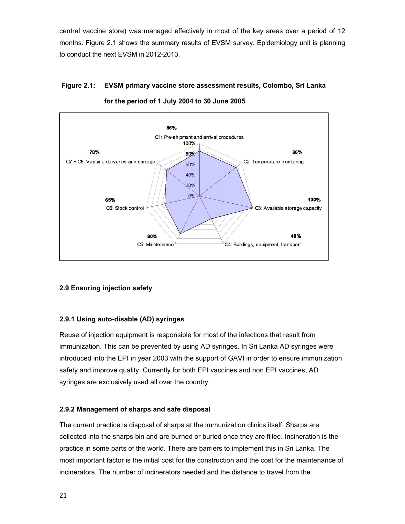central vaccine store) was managed effectively in most of the key areas over a period of 12 months. Figure 2.1 shows the summary results of EVSM survey. Epidemiology unit is planning to conduct the next EVSM in 2012-2013.

# **Figure 2.1: EVSM primary vaccine store assessment results, Colombo, Sri Lanka**



**for the period of 1 July 2004 to 30 June 2005** 

### **2.9 Ensuring injection safety**

### **2.9.1 Using auto-disable (AD) syringes**

Reuse of injection equipment is responsible for most of the infections that result from immunization. This can be prevented by using AD syringes. In Sri Lanka AD syringes were introduced into the EPI in year 2003 with the support of GAVI in order to ensure immunization safety and improve quality. Currently for both EPI vaccines and non EPI vaccines, AD syringes are exclusively used all over the country.

### **2.9.2 Management of sharps and safe disposal**

The current practice is disposal of sharps at the immunization clinics itself. Sharps are collected into the sharps bin and are burned or buried once they are filled. Incineration is the practice in some parts of the world. There are barriers to implement this in Sri Lanka. The most important factor is the initial cost for the construction and the cost for the maintenance of incinerators. The number of incinerators needed and the distance to travel from the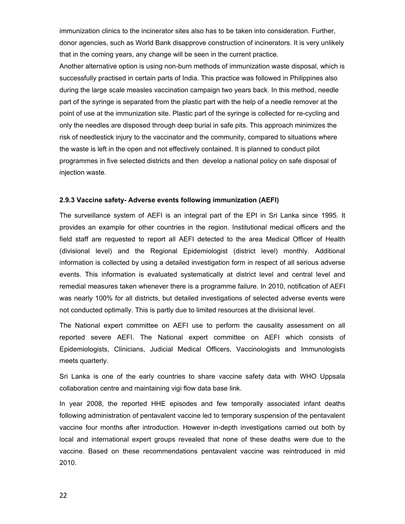immunization clinics to the incinerator sites also has to be taken into consideration. Further, donor agencies, such as World Bank disapprove construction of incinerators. It is very unlikely that in the coming years, any change will be seen in the current practice.

Another alternative option is using non-burn methods of immunization waste disposal, which is successfully practised in certain parts of India. This practice was followed in Philippines also during the large scale measles vaccination campaign two years back. In this method, needle part of the syringe is separated from the plastic part with the help of a needle remover at the point of use at the immunization site. Plastic part of the syringe is collected for re-cycling and only the needles are disposed through deep burial in safe pits. This approach minimizes the risk of needlestick injury to the vaccinator and the community, compared to situations where the waste is left in the open and not effectively contained. It is planned to conduct pilot programmes in five selected districts and then develop a national policy on safe disposal of injection waste.

#### **2.9.3 Vaccine safety- Adverse events following immunization (AEFI)**

The surveillance system of AEFI is an integral part of the EPI in Sri Lanka since 1995. It provides an example for other countries in the region. Institutional medical officers and the field staff are requested to report all AEFI detected to the area Medical Officer of Health (divisional level) and the Regional Epidemiologist (district level) monthly. Additional information is collected by using a detailed investigation form in respect of all serious adverse events. This information is evaluated systematically at district level and central level and remedial measures taken whenever there is a programme failure. In 2010, notification of AEFI was nearly 100% for all districts, but detailed investigations of selected adverse events were not conducted optimally. This is partly due to limited resources at the divisional level.

The National expert committee on AEFI use to perform the causality assessment on all reported severe AEFI. The National expert committee on AEFI which consists of Epidemiologists, Clinicians, Judicial Medical Officers, Vaccinologists and Immunologists meets quarterly.

Sri Lanka is one of the early countries to share vaccine safety data with WHO Uppsala collaboration centre and maintaining vigi flow data base link.

In year 2008, the reported HHE episodes and few temporally associated infant deaths following administration of pentavalent vaccine led to temporary suspension of the pentavalent vaccine four months after introduction. However in-depth investigations carried out both by local and international expert groups revealed that none of these deaths were due to the vaccine. Based on these recommendations pentavalent vaccine was reintroduced in mid 2010.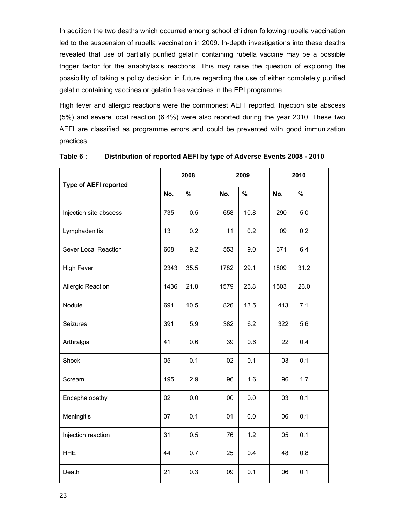In addition the two deaths which occurred among school children following rubella vaccination led to the suspension of rubella vaccination in 2009. In-depth investigations into these deaths revealed that use of partially purified gelatin containing rubella vaccine may be a possible trigger factor for the anaphylaxis reactions. This may raise the question of exploring the possibility of taking a policy decision in future regarding the use of either completely purified gelatin containing vaccines or gelatin free vaccines in the EPI programme

High fever and allergic reactions were the commonest AEFI reported. Injection site abscess (5%) and severe local reaction (6.4%) were also reported during the year 2010. These two AEFI are classified as programme errors and could be prevented with good immunization practices.

| <b>Type of AEFI reported</b> |      | 2008 | 2009<br>2010 |      |      |      |
|------------------------------|------|------|--------------|------|------|------|
|                              | No.  | $\%$ | No.          | $\%$ | No.  | $\%$ |
| Injection site abscess       | 735  | 0.5  | 658          | 10.8 | 290  | 5.0  |
| Lymphadenitis                | 13   | 0.2  | 11           | 0.2  | 09   | 0.2  |
| Sever Local Reaction         | 608  | 9.2  | 553          | 9.0  | 371  | 6.4  |
| <b>High Fever</b>            | 2343 | 35.5 | 1782         | 29.1 | 1809 | 31.2 |
| Allergic Reaction            | 1436 | 21.8 | 1579         | 25.8 | 1503 | 26.0 |
| Nodule                       | 691  | 10.5 | 826          | 13.5 | 413  | 7.1  |
| Seizures                     | 391  | 5.9  | 382          | 6.2  | 322  | 5.6  |
| Arthralgia                   | 41   | 0.6  | 39           | 0.6  | 22   | 0.4  |
| Shock                        | 05   | 0.1  | 02           | 0.1  | 03   | 0.1  |
| Scream                       | 195  | 2.9  | 96           | 1.6  | 96   | 1.7  |
| Encephalopathy               | 02   | 0.0  | 00           | 0.0  | 03   | 0.1  |
| Meningitis                   | 07   | 0.1  | 01           | 0.0  | 06   | 0.1  |
| Injection reaction           | 31   | 0.5  | 76           | 1.2  | 05   | 0.1  |
| <b>HHE</b>                   | 44   | 0.7  | 25           | 0.4  | 48   | 0.8  |
| Death                        | 21   | 0.3  | 09           | 0.1  | 06   | 0.1  |

**Table 6 : Distribution of reported AEFI by type of Adverse Events 2008 - 2010**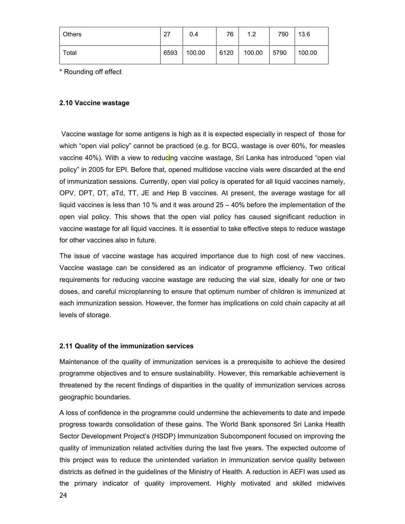| Others | 27   | 0.4    | 76   | 1.2    | 790  | 13.6   |
|--------|------|--------|------|--------|------|--------|
| Total  | 6593 | 100.00 | 6120 | 100.00 | 5790 | 100.00 |

\* Rounding off effect

#### **2.10 Vaccine wastage**

 Vaccine wastage for some antigens is high as it is expected especially in respect of those for which "open vial policy" cannot be practiced (e.g. for BCG, wastage is over 60%, for measles vaccine 40%). With a view to reducing vaccine wastage, Sri Lanka has introduced "open vial policy" in 2005 for EPI. Before that, opened multidose vaccine vials were discarded at the end of immunization sessions. Currently, open vial policy is operated for all liquid vaccines namely, OPV, DPT, DT, aTd, TT, JE and Hep B vaccines. At present, the average wastage for all liquid vaccines is less than 10 % and it was around 25 – 40% before the implementation of the open vial policy. This shows that the open vial policy has caused significant reduction in vaccine wastage for all liquid vaccines. It is essential to take effective steps to reduce wastage for other vaccines also in future.

The issue of vaccine wastage has acquired importance due to high cost of new vaccines. Vaccine wastage can be considered as an indicator of programme efficiency. Two critical requirements for reducing vaccine wastage are reducing the vial size, ideally for one or two doses, and careful microplanning to ensure that optimum number of children is immunized at each immunization session. However, the former has implications on cold chain capacity at all levels of storage.

#### **2.11 Quality of the immunization services**

Maintenance of the quality of immunization services is a prerequisite to achieve the desired programme objectives and to ensure sustainability. However, this remarkable achievement is threatened by the recent findings of disparities in the quality of immunization services across geographic boundaries.

A loss of confidence in the programme could undermine the achievements to date and impede progress towards consolidation of these gains. The World Bank sponsored Sri Lanka Health Sector Development Project's (HSDP) Immunization Subcomponent focused on improving the quality of immunization related activities during the last five years. The expected outcome of this project was to reduce the unintended variation in immunization service quality between districts as defined in the guidelines of the Ministry of Health. A reduction in AEFI was used as the primary indicator of quality improvement. Highly motivated and skilled midwives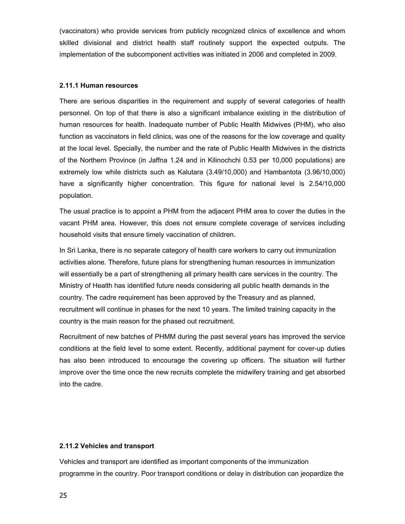(vaccinators) who provide services from publicly recognized clinics of excellence and whom skilled divisional and district health staff routinely support the expected outputs. The implementation of the subcomponent activities was initiated in 2006 and completed in 2009.

#### **2.11.1 Human resources**

There are serious disparities in the requirement and supply of several categories of health personnel. On top of that there is also a significant imbalance existing in the distribution of human resources for health. Inadequate number of Public Health Midwives (PHM), who also function as vaccinators in field clinics, was one of the reasons for the low coverage and quality at the local level. Specially, the number and the rate of Public Health Midwives in the districts of the Northern Province (in Jaffna 1.24 and in Kilinochchi 0.53 per 10,000 populations) are extremely low while districts such as Kalutara (3.49/10,000) and Hambantota (3.96/10,000) have a significantly higher concentration. This figure for national level is 2.54/10,000 population.

The usual practice is to appoint a PHM from the adjacent PHM area to cover the duties in the vacant PHM area. However, this does not ensure complete coverage of services including household visits that ensure timely vaccination of children.

In Sri Lanka, there is no separate category of health care workers to carry out immunization activities alone. Therefore, future plans for strengthening human resources in immunization will essentially be a part of strengthening all primary health care services in the country. The Ministry of Health has identified future needs considering all public health demands in the country. The cadre requirement has been approved by the Treasury and as planned, recruitment will continue in phases for the next 10 years. The limited training capacity in the country is the main reason for the phased out recruitment.

Recruitment of new batches of PHMM during the past several years has improved the service conditions at the field level to some extent. Recently, additional payment for cover-up duties has also been introduced to encourage the covering up officers. The situation will further improve over the time once the new recruits complete the midwifery training and get absorbed into the cadre.

#### **2.11.2 Vehicles and transport**

Vehicles and transport are identified as important components of the immunization programme in the country. Poor transport conditions or delay in distribution can jeopardize the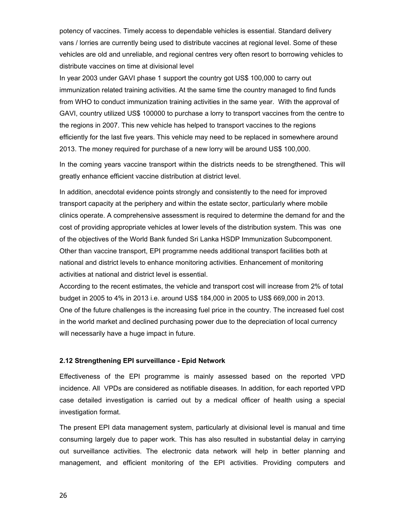potency of vaccines. Timely access to dependable vehicles is essential. Standard delivery vans / lorries are currently being used to distribute vaccines at regional level. Some of these vehicles are old and unreliable, and regional centres very often resort to borrowing vehicles to distribute vaccines on time at divisional level

In year 2003 under GAVI phase 1 support the country got US\$ 100,000 to carry out immunization related training activities. At the same time the country managed to find funds from WHO to conduct immunization training activities in the same year. With the approval of GAVI, country utilized US\$ 100000 to purchase a lorry to transport vaccines from the centre to the regions in 2007. This new vehicle has helped to transport vaccines to the regions efficiently for the last five years. This vehicle may need to be replaced in somewhere around 2013. The money required for purchase of a new lorry will be around US\$ 100,000.

In the coming years vaccine transport within the districts needs to be strengthened. This will greatly enhance efficient vaccine distribution at district level.

In addition, anecdotal evidence points strongly and consistently to the need for improved transport capacity at the periphery and within the estate sector, particularly where mobile clinics operate. A comprehensive assessment is required to determine the demand for and the cost of providing appropriate vehicles at lower levels of the distribution system. This was one of the objectives of the World Bank funded Sri Lanka HSDP Immunization Subcomponent. Other than vaccine transport, EPI programme needs additional transport facilities both at national and district levels to enhance monitoring activities. Enhancement of monitoring activities at national and district level is essential.

According to the recent estimates, the vehicle and transport cost will increase from 2% of total budget in 2005 to 4% in 2013 i.e. around US\$ 184,000 in 2005 to US\$ 669,000 in 2013. One of the future challenges is the increasing fuel price in the country. The increased fuel cost in the world market and declined purchasing power due to the depreciation of local currency will necessarily have a huge impact in future.

#### **2.12 Strengthening EPI surveillance - Epid Network**

Effectiveness of the EPI programme is mainly assessed based on the reported VPD incidence. All VPDs are considered as notifiable diseases. In addition, for each reported VPD case detailed investigation is carried out by a medical officer of health using a special investigation format.

The present EPI data management system, particularly at divisional level is manual and time consuming largely due to paper work. This has also resulted in substantial delay in carrying out surveillance activities. The electronic data network will help in better planning and management, and efficient monitoring of the EPI activities. Providing computers and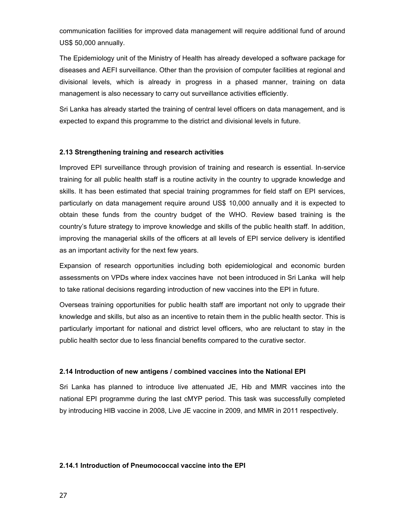communication facilities for improved data management will require additional fund of around US\$ 50,000 annually.

The Epidemiology unit of the Ministry of Health has already developed a software package for diseases and AEFI surveillance. Other than the provision of computer facilities at regional and divisional levels, which is already in progress in a phased manner, training on data management is also necessary to carry out surveillance activities efficiently.

Sri Lanka has already started the training of central level officers on data management, and is expected to expand this programme to the district and divisional levels in future.

#### **2.13 Strengthening training and research activities**

Improved EPI surveillance through provision of training and research is essential. In-service training for all public health staff is a routine activity in the country to upgrade knowledge and skills. It has been estimated that special training programmes for field staff on EPI services, particularly on data management require around US\$ 10,000 annually and it is expected to obtain these funds from the country budget of the WHO. Review based training is the country's future strategy to improve knowledge and skills of the public health staff. In addition, improving the managerial skills of the officers at all levels of EPI service delivery is identified as an important activity for the next few years.

Expansion of research opportunities including both epidemiological and economic burden assessments on VPDs where index vaccines have not been introduced in Sri Lanka will help to take rational decisions regarding introduction of new vaccines into the EPI in future.

Overseas training opportunities for public health staff are important not only to upgrade their knowledge and skills, but also as an incentive to retain them in the public health sector. This is particularly important for national and district level officers, who are reluctant to stay in the public health sector due to less financial benefits compared to the curative sector.

#### **2.14 Introduction of new antigens / combined vaccines into the National EPI**

Sri Lanka has planned to introduce live attenuated JE, Hib and MMR vaccines into the national EPI programme during the last cMYP period. This task was successfully completed by introducing HIB vaccine in 2008, Live JE vaccine in 2009, and MMR in 2011 respectively.

#### **2.14.1 Introduction of Pneumococcal vaccine into the EPI**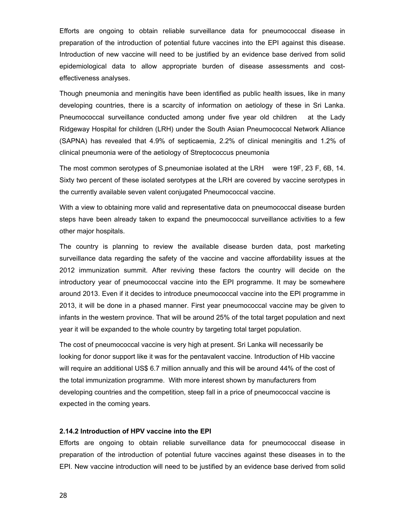Efforts are ongoing to obtain reliable surveillance data for pneumococcal disease in preparation of the introduction of potential future vaccines into the EPI against this disease. Introduction of new vaccine will need to be justified by an evidence base derived from solid epidemiological data to allow appropriate burden of disease assessments and costeffectiveness analyses.

Though pneumonia and meningitis have been identified as public health issues, like in many developing countries, there is a scarcity of information on aetiology of these in Sri Lanka. Pneumococcal surveillance conducted among under five year old children at the Lady Ridgeway Hospital for children (LRH) under the South Asian Pneumococcal Network Alliance (SAPNA) has revealed that 4.9% of septicaemia, 2.2% of clinical meningitis and 1.2% of clinical pneumonia were of the aetiology of Streptococcus pneumonia

The most common serotypes of S.pneumoniae isolated at the LRH were 19F, 23 F, 6B, 14. Sixty two percent of these isolated serotypes at the LRH are covered by vaccine serotypes in the currently available seven valent conjugated Pneumococcal vaccine.

With a view to obtaining more valid and representative data on pneumococcal disease burden steps have been already taken to expand the pneumococcal surveillance activities to a few other major hospitals.

The country is planning to review the available disease burden data, post marketing surveillance data regarding the safety of the vaccine and vaccine affordability issues at the 2012 immunization summit. After reviving these factors the country will decide on the introductory year of pneumococcal vaccine into the EPI programme. It may be somewhere around 2013. Even if it decides to introduce pneumococcal vaccine into the EPI programme in 2013, it will be done in a phased manner. First year pneumococcal vaccine may be given to infants in the western province. That will be around 25% of the total target population and next year it will be expanded to the whole country by targeting total target population.

The cost of pneumococcal vaccine is very high at present. Sri Lanka will necessarily be looking for donor support like it was for the pentavalent vaccine. Introduction of Hib vaccine will require an additional US\$ 6.7 million annually and this will be around 44% of the cost of the total immunization programme. With more interest shown by manufacturers from developing countries and the competition, steep fall in a price of pneumococcal vaccine is expected in the coming years.

#### **2.14.2 Introduction of HPV vaccine into the EPI**

Efforts are ongoing to obtain reliable surveillance data for pneumococcal disease in preparation of the introduction of potential future vaccines against these diseases in to the EPI. New vaccine introduction will need to be justified by an evidence base derived from solid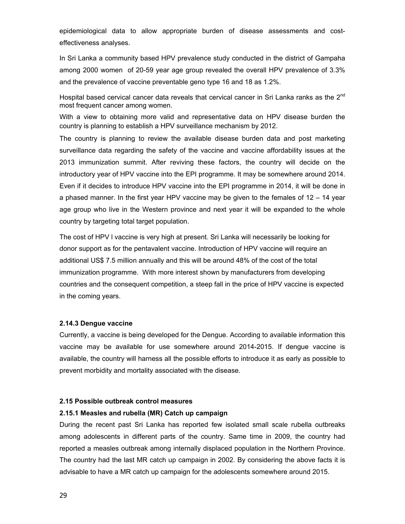epidemiological data to allow appropriate burden of disease assessments and costeffectiveness analyses.

In Sri Lanka a community based HPV prevalence study conducted in the district of Gampaha among 2000 women of 20-59 year age group revealed the overall HPV prevalence of 3.3% and the prevalence of vaccine preventable geno type 16 and 18 as 1.2%.

Hospital based cervical cancer data reveals that cervical cancer in Sri Lanka ranks as the  $2<sup>nd</sup>$ most frequent cancer among women.

With a view to obtaining more valid and representative data on HPV disease burden the country is planning to establish a HPV surveillance mechanism by 2012.

The country is planning to review the available disease burden data and post marketing surveillance data regarding the safety of the vaccine and vaccine affordability issues at the 2013 immunization summit. After reviving these factors, the country will decide on the introductory year of HPV vaccine into the EPI programme. It may be somewhere around 2014. Even if it decides to introduce HPV vaccine into the EPI programme in 2014, it will be done in a phased manner. In the first year HPV vaccine may be given to the females of 12 – 14 year age group who live in the Western province and next year it will be expanded to the whole country by targeting total target population.

The cost of HPV l vaccine is very high at present. Sri Lanka will necessarily be looking for donor support as for the pentavalent vaccine. Introduction of HPV vaccine will require an additional US\$ 7.5 million annually and this will be around 48% of the cost of the total immunization programme. With more interest shown by manufacturers from developing countries and the consequent competition, a steep fall in the price of HPV vaccine is expected in the coming years.

#### **2.14.3 Dengue vaccine**

Currently, a vaccine is being developed for the Dengue. According to available information this vaccine may be available for use somewhere around 2014-2015. If dengue vaccine is available, the country will harness all the possible efforts to introduce it as early as possible to prevent morbidity and mortality associated with the disease.

#### **2.15 Possible outbreak control measures**

#### **2.15.1 Measles and rubella (MR) Catch up campaign**

During the recent past Sri Lanka has reported few isolated small scale rubella outbreaks among adolescents in different parts of the country. Same time in 2009, the country had reported a measles outbreak among internally displaced population in the Northern Province. The country had the last MR catch up campaign in 2002. By considering the above facts it is advisable to have a MR catch up campaign for the adolescents somewhere around 2015.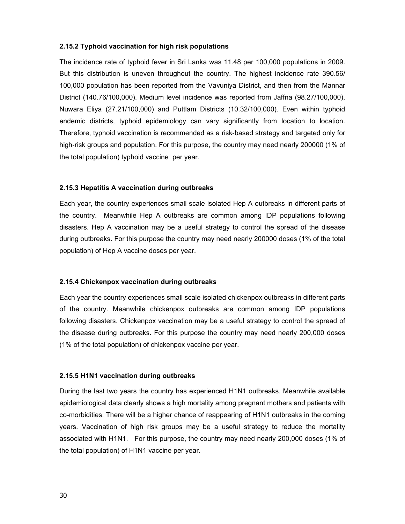#### **2.15.2 Typhoid vaccination for high risk populations**

The incidence rate of typhoid fever in Sri Lanka was 11.48 per 100,000 populations in 2009. But this distribution is uneven throughout the country. The highest incidence rate 390.56/ 100,000 population has been reported from the Vavuniya District, and then from the Mannar District (140.76/100,000). Medium level incidence was reported from Jaffna (98.27/100,000), Nuwara Eliya (27.21/100,000) and Puttlam Districts (10.32/100,000). Even within typhoid endemic districts, typhoid epidemiology can vary significantly from location to location. Therefore, typhoid vaccination is recommended as a risk‐based strategy and targeted only for high-risk groups and population. For this purpose, the country may need nearly 200000 (1% of the total population) typhoid vaccine per year.

#### **2.15.3 Hepatitis A vaccination during outbreaks**

Each year, the country experiences small scale isolated Hep A outbreaks in different parts of the country. Meanwhile Hep A outbreaks are common among IDP populations following disasters. Hep A vaccination may be a useful strategy to control the spread of the disease during outbreaks. For this purpose the country may need nearly 200000 doses (1% of the total population) of Hep A vaccine doses per year.

#### **2.15.4 Chickenpox vaccination during outbreaks**

Each year the country experiences small scale isolated chickenpox outbreaks in different parts of the country. Meanwhile chickenpox outbreaks are common among IDP populations following disasters. Chickenpox vaccination may be a useful strategy to control the spread of the disease during outbreaks. For this purpose the country may need nearly 200,000 doses (1% of the total population) of chickenpox vaccine per year.

#### **2.15.5 H1N1 vaccination during outbreaks**

During the last two years the country has experienced H1N1 outbreaks. Meanwhile available epidemiological data clearly shows a high mortality among pregnant mothers and patients with co-morbidities. There will be a higher chance of reappearing of H1N1 outbreaks in the coming years. Vaccination of high risk groups may be a useful strategy to reduce the mortality associated with H1N1. For this purpose, the country may need nearly 200,000 doses (1% of the total population) of H1N1 vaccine per year.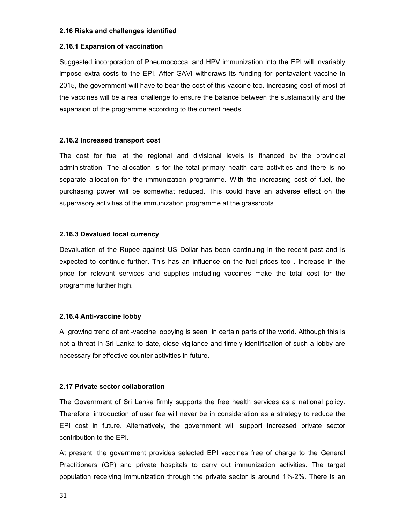#### **2.16 Risks and challenges identified**

#### **2.16.1 Expansion of vaccination**

Suggested incorporation of Pneumococcal and HPV immunization into the EPI will invariably impose extra costs to the EPI. After GAVI withdraws its funding for pentavalent vaccine in 2015, the government will have to bear the cost of this vaccine too. Increasing cost of most of the vaccines will be a real challenge to ensure the balance between the sustainability and the expansion of the programme according to the current needs.

#### **2.16.2 Increased transport cost**

The cost for fuel at the regional and divisional levels is financed by the provincial administration. The allocation is for the total primary health care activities and there is no separate allocation for the immunization programme. With the increasing cost of fuel, the purchasing power will be somewhat reduced. This could have an adverse effect on the supervisory activities of the immunization programme at the grassroots.

#### **2.16.3 Devalued local currency**

Devaluation of the Rupee against US Dollar has been continuing in the recent past and is expected to continue further. This has an influence on the fuel prices too . Increase in the price for relevant services and supplies including vaccines make the total cost for the programme further high.

#### **2.16.4 Anti-vaccine lobby**

A growing trend of anti-vaccine lobbying is seen in certain parts of the world. Although this is not a threat in Sri Lanka to date, close vigilance and timely identification of such a lobby are necessary for effective counter activities in future.

#### **2.17 Private sector collaboration**

The Government of Sri Lanka firmly supports the free health services as a national policy. Therefore, introduction of user fee will never be in consideration as a strategy to reduce the EPI cost in future. Alternatively, the government will support increased private sector contribution to the EPI.

At present, the government provides selected EPI vaccines free of charge to the General Practitioners (GP) and private hospitals to carry out immunization activities. The target population receiving immunization through the private sector is around 1%-2%. There is an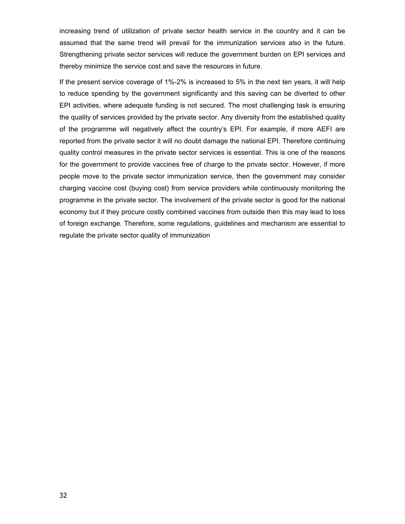increasing trend of utilization of private sector health service in the country and it can be assumed that the same trend will prevail for the immunization services also in the future. Strengthening private sector services will reduce the government burden on EPI services and thereby minimize the service cost and save the resources in future.

If the present service coverage of 1%-2% is increased to 5% in the next ten years, it will help to reduce spending by the government significantly and this saving can be diverted to other EPI activities, where adequate funding is not secured. The most challenging task is ensuring the quality of services provided by the private sector. Any diversity from the established quality of the programme will negatively affect the country's EPI. For example, if more AEFI are reported from the private sector it will no doubt damage the national EPI. Therefore continuing quality control measures in the private sector services is essential. This is one of the reasons for the government to provide vaccines free of charge to the private sector. However, if more people move to the private sector immunization service, then the government may consider charging vaccine cost (buying cost) from service providers while continuously monitoring the programme in the private sector. The involvement of the private sector is good for the national economy but if they procure costly combined vaccines from outside then this may lead to loss of foreign exchange. Therefore, some regulations, guidelines and mechanism are essential to regulate the private sector quality of immunization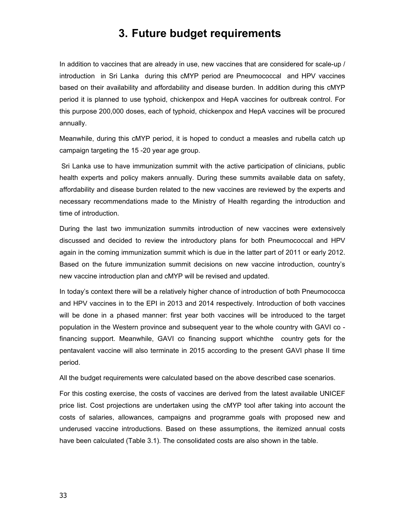# **3. Future budget requirements**

In addition to vaccines that are already in use, new vaccines that are considered for scale-up / introduction in Sri Lanka during this cMYP period are Pneumococcal and HPV vaccines based on their availability and affordability and disease burden. In addition during this cMYP period it is planned to use typhoid, chickenpox and HepA vaccines for outbreak control. For this purpose 200,000 doses, each of typhoid, chickenpox and HepA vaccines will be procured annually.

Meanwhile, during this cMYP period, it is hoped to conduct a measles and rubella catch up campaign targeting the 15 -20 year age group.

 Sri Lanka use to have immunization summit with the active participation of clinicians, public health experts and policy makers annually. During these summits available data on safety, affordability and disease burden related to the new vaccines are reviewed by the experts and necessary recommendations made to the Ministry of Health regarding the introduction and time of introduction.

During the last two immunization summits introduction of new vaccines were extensively discussed and decided to review the introductory plans for both Pneumococcal and HPV again in the coming immunization summit which is due in the latter part of 2011 or early 2012. Based on the future immunization summit decisions on new vaccine introduction, country's new vaccine introduction plan and cMYP will be revised and updated.

In today's context there will be a relatively higher chance of introduction of both Pneumococca and HPV vaccines in to the EPI in 2013 and 2014 respectively. Introduction of both vaccines will be done in a phased manner: first year both vaccines will be introduced to the target population in the Western province and subsequent year to the whole country with GAVI co financing support. Meanwhile, GAVI co financing support whichthe country gets for the pentavalent vaccine will also terminate in 2015 according to the present GAVI phase II time period.

All the budget requirements were calculated based on the above described case scenarios.

For this costing exercise, the costs of vaccines are derived from the latest available UNICEF price list. Cost projections are undertaken using the cMYP tool after taking into account the costs of salaries, allowances, campaigns and programme goals with proposed new and underused vaccine introductions. Based on these assumptions, the itemized annual costs have been calculated (Table 3.1). The consolidated costs are also shown in the table.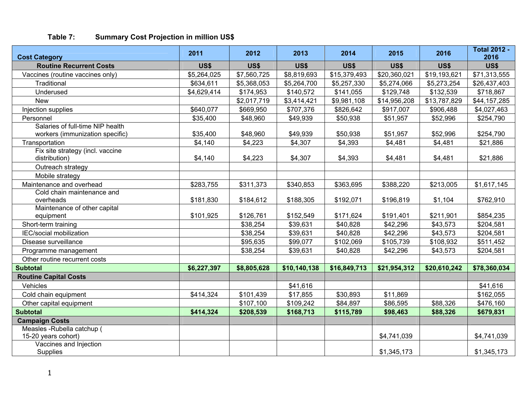| Table 7: |  |  | <b>Summary Cost Projection in million US\$</b> |  |  |  |
|----------|--|--|------------------------------------------------|--|--|--|
|----------|--|--|------------------------------------------------|--|--|--|

| <b>Cost Category</b>                      | 2011        | 2012        | 2013         | 2014         | 2015         | 2016         | <b>Total 2012 -</b><br>2016 |
|-------------------------------------------|-------------|-------------|--------------|--------------|--------------|--------------|-----------------------------|
| <b>Routine Recurrent Costs</b>            | <b>US\$</b> | <b>US\$</b> | <b>US\$</b>  | <b>US\$</b>  | <b>US\$</b>  | US\$         | US\$                        |
| Vaccines (routine vaccines only)          | \$5,264,025 | \$7,560,725 | \$8,819,693  | \$15,379,493 | \$20,360,021 | \$19,193,621 | \$71,313,555                |
| Traditional                               | \$634,611   | \$5,368,053 | \$5,264,700  | \$5,257,330  | \$5,274,066  | \$5,273,254  | \$26,437,403                |
| Underused                                 | \$4,629,414 | \$174,953   | \$140,572    | \$141,055    | \$129,748    | \$132,539    | \$718,867                   |
| <b>New</b>                                |             | \$2,017,719 | \$3,414,421  | \$9,981,108  | \$14,956,208 | \$13,787,829 | \$44,157,285                |
| Injection supplies                        | \$640,077   | \$669,950   | \$707,376    | \$826,642    | \$917,007    | \$906,488    | \$4,027,463                 |
| Personnel                                 | \$35,400    | \$48,960    | \$49,939     | \$50,938     | \$51,957     | \$52,996     | \$254,790                   |
| Salaries of full-time NIP health          |             |             |              |              |              |              |                             |
| workers (immunization specific)           | \$35,400    | \$48,960    | \$49,939     | \$50,938     | \$51,957     | \$52,996     | \$254,790                   |
| Transportation                            | \$4,140     | \$4,223     | \$4,307      | \$4,393      | \$4,481      | \$4,481      | \$21,886                    |
| Fix site strategy (incl. vaccine          |             |             |              |              |              |              |                             |
| distribution)                             | \$4,140     | \$4,223     | \$4,307      | \$4,393      | \$4,481      | \$4,481      | \$21,886                    |
| Outreach strategy                         |             |             |              |              |              |              |                             |
| Mobile strategy                           |             |             |              |              |              |              |                             |
| Maintenance and overhead                  | \$283,755   | \$311,373   | \$340,853    | \$363,695    | \$388,220    | \$213,005    | \$1,617,145                 |
| Cold chain maintenance and                |             |             |              |              |              |              |                             |
| overheads                                 | \$181,830   | \$184,612   | \$188,305    | \$192,071    | \$196,819    | \$1,104      | \$762,910                   |
| Maintenance of other capital<br>equipment | \$101,925   | \$126,761   | \$152,549    | \$171,624    | \$191,401    | \$211,901    | \$854,235                   |
| Short-term training                       |             | \$38,254    | \$39,631     | \$40,828     | \$42,296     | \$43,573     | \$204,581                   |
| IEC/social mobilization                   |             | \$38,254    | \$39,631     | \$40,828     | \$42,296     | \$43,573     | \$204,581                   |
| Disease surveillance                      |             | \$95,635    | \$99,077     | \$102,069    | \$105,739    | \$108,932    | \$511,452                   |
| Programme management                      |             | \$38,254    | \$39,631     | \$40,828     | \$42,296     | \$43,573     | \$204,581                   |
| Other routine recurrent costs             |             |             |              |              |              |              |                             |
| <b>Subtotal</b>                           | \$6,227,397 | \$8,805,628 | \$10,140,138 | \$16,849,713 | \$21,954,312 | \$20,610,242 | \$78,360,034                |
| <b>Routine Capital Costs</b>              |             |             |              |              |              |              |                             |
| Vehicles                                  |             |             | \$41,616     |              |              |              | \$41,616                    |
| Cold chain equipment                      | \$414,324   | \$101,439   | \$17,855     | \$30,893     | \$11,869     |              | \$162,055                   |
| Other capital equipment                   |             | \$107,100   | \$109,242    | \$84,897     | \$86,595     | \$88,326     | \$476,160                   |
| <b>Subtotal</b>                           | \$414,324   | \$208,539   | \$168,713    | \$115,789    | \$98,463     | \$88,326     | \$679,831                   |
| <b>Campaign Costs</b>                     |             |             |              |              |              |              |                             |
| Measles - Rubella catchup (               |             |             |              |              |              |              |                             |
| 15-20 years cohort)                       |             |             |              |              | \$4,741,039  |              | \$4,741,039                 |
| Vaccines and Injection                    |             |             |              |              |              |              |                             |
| Supplies                                  |             |             |              |              | \$1,345,173  |              | \$1,345,173                 |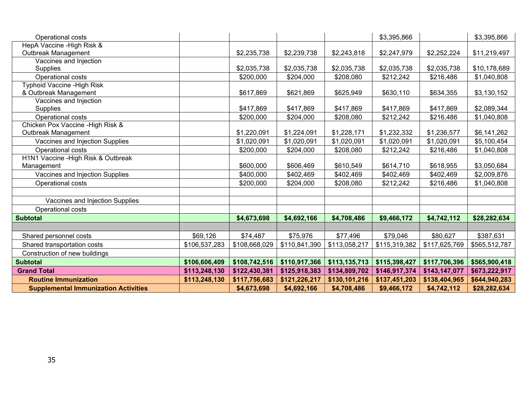| Operational costs                           |               |               |               |               | \$3,395,866   |               | \$3,395,866   |
|---------------------------------------------|---------------|---------------|---------------|---------------|---------------|---------------|---------------|
| HepA Vaccine - High Risk &                  |               |               |               |               |               |               |               |
| Outbreak Management                         |               | \$2,235,738   | \$2,239,738   | \$2,243,818   | \$2,247,979   | \$2,252,224   | \$11,219,497  |
| Vaccines and Injection                      |               |               |               |               |               |               |               |
| <b>Supplies</b>                             |               | \$2,035,738   | \$2,035,738   | \$2,035,738   | \$2,035,738   | \$2,035,738   | \$10,178,689  |
| Operational costs                           |               | \$200,000     | \$204,000     | \$208,080     | \$212,242     | \$216,486     | \$1,040,808   |
| <b>Typhoid Vaccine - High Risk</b>          |               |               |               |               |               |               |               |
| & Outbreak Management                       |               | \$617,869     | \$621,869     | \$625,949     | \$630,110     | \$634,355     | \$3,130,152   |
| Vaccines and Injection                      |               |               |               |               |               |               |               |
| <b>Supplies</b>                             |               | \$417,869     | \$417,869     | \$417,869     | \$417,869     | \$417,869     | \$2,089,344   |
| Operational costs                           |               | \$200,000     | \$204,000     | \$208,080     | \$212,242     | \$216,486     | \$1,040,808   |
| Chicken Pox Vaccine - High Risk &           |               |               |               |               |               |               |               |
| Outbreak Management                         |               | \$1,220,091   | \$1,224,091   | \$1,228,171   | \$1,232,332   | \$1,236,577   | \$6,141,262   |
| Vaccines and Injection Supplies             |               | \$1,020,091   | \$1,020,091   | \$1,020,091   | \$1,020,091   | \$1,020,091   | \$5,100,454   |
| Operational costs                           |               | \$200,000     | \$204,000     | \$208,080     | \$212,242     | \$216,486     | \$1,040,808   |
| H1N1 Vaccine - High Risk & Outbreak         |               |               |               |               |               |               |               |
| Management                                  |               | \$600,000     | \$606,469     | \$610,549     | \$614,710     | \$618,955     | \$3,050,684   |
| Vaccines and Injection Supplies             |               | \$400,000     | \$402,469     | \$402,469     | \$402,469     | \$402,469     | \$2,009,876   |
| Operational costs                           |               | \$200,000     | \$204,000     | \$208,080     | \$212,242     | \$216,486     | \$1,040,808   |
|                                             |               |               |               |               |               |               |               |
| Vaccines and Injection Supplies             |               |               |               |               |               |               |               |
| Operational costs                           |               |               |               |               |               |               |               |
| <b>Subtotal</b>                             |               | \$4,673,698   | \$4,692,166   | \$4,708,486   | \$9,466,172   | \$4,742,112   | \$28,282,634  |
|                                             |               |               |               |               |               |               |               |
| Shared personnel costs                      | \$69,126      | \$74,487      | \$75,976      | \$77,496      | \$79,046      | \$80,627      | \$387,631     |
| Shared transportation costs                 | \$106,537,283 | \$108,668,029 | \$110,841,390 | \$113,058,217 | \$115,319,382 | \$117,625,769 | \$565,512,787 |
| Construction of new buildings               |               |               |               |               |               |               |               |
| <b>Subtotal</b>                             | \$106,606,409 | \$108,742,516 | \$110,917,366 | \$113,135,713 | \$115,398,427 | \$117,706,396 | \$565,900,418 |
| <b>Grand Total</b>                          | \$113,248,130 | \$122,430,381 | \$125,918,383 | \$134,809,702 | \$146,917,374 | \$143,147,077 | \$673,222,917 |
| <b>Routine Immunization</b>                 | \$113,248,130 | \$117,756,683 | \$121,226,217 | \$130,101,216 | \$137,451,203 | \$138,404,965 | \$644,940,283 |
| <b>Supplemental Immunization Activities</b> |               | \$4,673,698   | \$4,692,166   | \$4,708,486   | \$9,466,172   | \$4,742,112   | \$28,282,634  |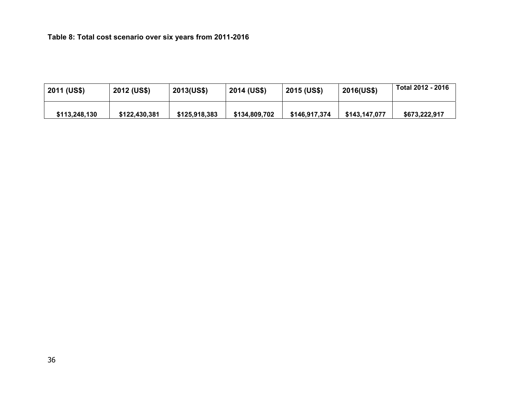**Table 8: Total cost scenario over six years from 2011-2016**

| 2011 (US\$)   | 2012 (US\$)   | 2013(US\$)    | 2014 (US\$)   | 2015 (US\$)   | <b>2016(US\$)</b> | Total 2012 - 2016 |
|---------------|---------------|---------------|---------------|---------------|-------------------|-------------------|
| \$113,248,130 | \$122,430,381 | \$125,918,383 | \$134,809,702 | \$146.917.374 | \$143.147.077     | \$673,222,917     |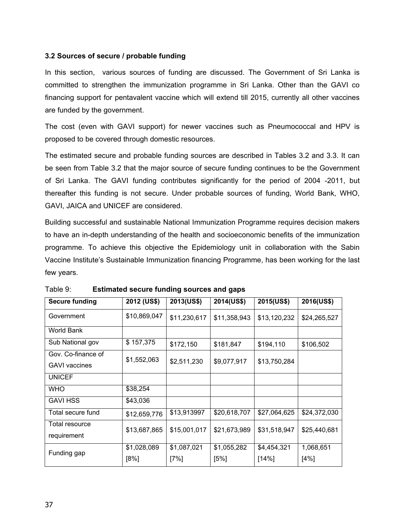# **3.2 Sources of secure / probable funding**

In this section, various sources of funding are discussed. The Government of Sri Lanka is committed to strengthen the immunization programme in Sri Lanka. Other than the GAVI co financing support for pentavalent vaccine which will extend till 2015, currently all other vaccines are funded by the government.

The cost (even with GAVI support) for newer vaccines such as Pneumococcal and HPV is proposed to be covered through domestic resources.

The estimated secure and probable funding sources are described in Tables 3.2 and 3.3. It can be seen from Table 3.2 that the major source of secure funding continues to be the Government of Sri Lanka. The GAVI funding contributes significantly for the period of 2004 -2011, but thereafter this funding is not secure. Under probable sources of funding, World Bank, WHO, GAVI, JAICA and UNICEF are considered.

Building successful and sustainable National Immunization Programme requires decision makers to have an in-depth understanding of the health and socioeconomic benefits of the immunization programme. To achieve this objective the Epidemiology unit in collaboration with the Sabin Vaccine Institute's Sustainable Immunization financing Programme, has been working for the last few years.

| <b>Secure funding</b> | 2012 (US\$)  | 2013(US\$)   | 2014(US\$)   | 2015(US\$)   | 2016(US\$)   |
|-----------------------|--------------|--------------|--------------|--------------|--------------|
| Government            | \$10,869,047 | \$11,230,617 | \$11,358,943 | \$13,120,232 | \$24,265,527 |
| World Bank            |              |              |              |              |              |
| Sub National gov      | \$157,375    | \$172,150    | \$181,847    | \$194,110    | \$106,502    |
| Gov. Co-finance of    | \$1,552,063  |              |              |              |              |
| <b>GAVI vaccines</b>  |              | \$2,511,230  | \$9,077,917  | \$13,750,284 |              |
| <b>UNICEF</b>         |              |              |              |              |              |
| <b>WHO</b>            | \$38,254     |              |              |              |              |
| <b>GAVI HSS</b>       | \$43,036     |              |              |              |              |
| Total secure fund     | \$12,659,776 | \$13,913997  | \$20,618,707 | \$27,064,625 | \$24,372,030 |
| Total resource        | \$13,687,865 | \$15,001,017 | \$21,673,989 | \$31,518,947 | \$25,440,681 |
| requirement           |              |              |              |              |              |
| Funding gap           | \$1,028,089  | \$1,087,021  | \$1,055,282  | \$4,454,321  | 1,068,651    |
|                       | $[8\%]$      | $[7\%]$      | [5%]         | [14%]        | [4%]         |

Table 9: **Estimated secure funding sources and gaps**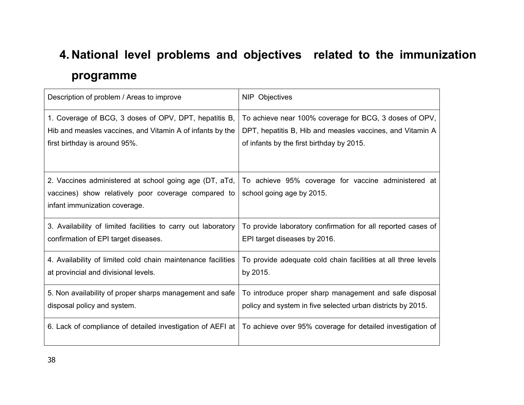# **4. National level problems and objectives related to the immunization programme**

| Description of problem / Areas to improve                                                                                                      | NIP Objectives                                                                   |
|------------------------------------------------------------------------------------------------------------------------------------------------|----------------------------------------------------------------------------------|
| 1. Coverage of BCG, 3 doses of OPV, DPT, hepatitis B,                                                                                          | To achieve near 100% coverage for BCG, 3 doses of OPV,                           |
| Hib and measles vaccines, and Vitamin A of infants by the                                                                                      | DPT, hepatitis B, Hib and measles vaccines, and Vitamin A                        |
| first birthday is around 95%.                                                                                                                  | of infants by the first birthday by 2015.                                        |
| 2. Vaccines administered at school going age (DT, aTd,<br>vaccines) show relatively poor coverage compared to<br>infant immunization coverage. | To achieve 95% coverage for vaccine administered at<br>school going age by 2015. |
| 3. Availability of limited facilities to carry out laboratory                                                                                  | To provide laboratory confirmation for all reported cases of                     |
| confirmation of EPI target diseases.                                                                                                           | EPI target diseases by 2016.                                                     |
| 4. Availability of limited cold chain maintenance facilities                                                                                   | To provide adequate cold chain facilities at all three levels                    |
| at provincial and divisional levels.                                                                                                           | by 2015.                                                                         |
| 5. Non availability of proper sharps management and safe                                                                                       | To introduce proper sharp management and safe disposal                           |
| disposal policy and system.                                                                                                                    | policy and system in five selected urban districts by 2015.                      |
| 6. Lack of compliance of detailed investigation of AEFI at                                                                                     | To achieve over 95% coverage for detailed investigation of                       |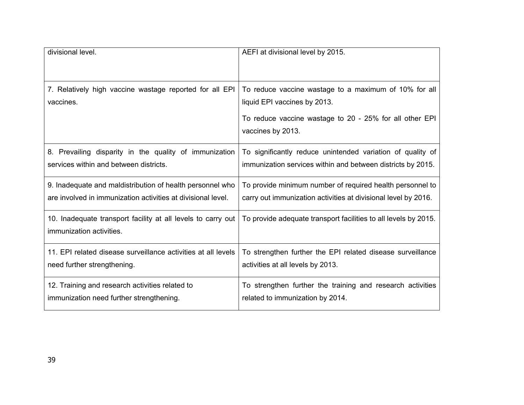| divisional level.                                                                        | AEFI at divisional level by 2015.                                                                                                                                     |
|------------------------------------------------------------------------------------------|-----------------------------------------------------------------------------------------------------------------------------------------------------------------------|
| 7. Relatively high vaccine wastage reported for all EPI<br>vaccines.                     | To reduce vaccine wastage to a maximum of 10% for all<br>liquid EPI vaccines by 2013.<br>To reduce vaccine wastage to 20 - 25% for all other EPI<br>vaccines by 2013. |
| 8. Prevailing disparity in the quality of immunization                                   | To significantly reduce unintended variation of quality of                                                                                                            |
| services within and between districts.                                                   | immunization services within and between districts by 2015.                                                                                                           |
| 9. Inadequate and maldistribution of health personnel who                                | To provide minimum number of required health personnel to                                                                                                             |
| are involved in immunization activities at divisional level.                             | carry out immunization activities at divisional level by 2016.                                                                                                        |
| 10. Inadequate transport facility at all levels to carry out<br>immunization activities. | To provide adequate transport facilities to all levels by 2015.                                                                                                       |
| 11. EPI related disease surveillance activities at all levels                            | To strengthen further the EPI related disease surveillance                                                                                                            |
| need further strengthening.                                                              | activities at all levels by 2013.                                                                                                                                     |
| 12. Training and research activities related to                                          | To strengthen further the training and research activities                                                                                                            |
| immunization need further strengthening.                                                 | related to immunization by 2014.                                                                                                                                      |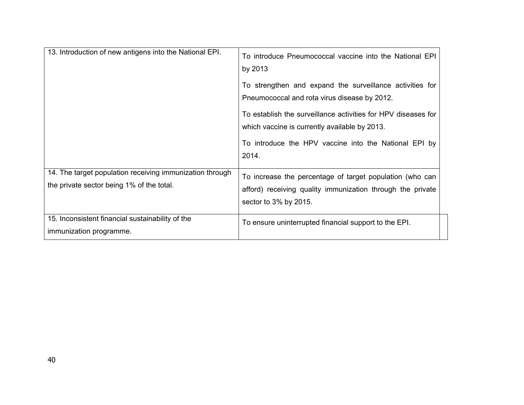| 13. Introduction of new antigens into the National EPI.                                               | To introduce Pneumococcal vaccine into the National EPI<br>by 2013<br>To strengthen and expand the surveillance activities for<br>Pneumococcal and rota virus disease by 2012.<br>To establish the surveillance activities for HPV diseases for<br>which vaccine is currently available by 2013.<br>To introduce the HPV vaccine into the National EPI by<br>2014. |
|-------------------------------------------------------------------------------------------------------|--------------------------------------------------------------------------------------------------------------------------------------------------------------------------------------------------------------------------------------------------------------------------------------------------------------------------------------------------------------------|
| 14. The target population receiving immunization through<br>the private sector being 1% of the total. | To increase the percentage of target population (who can<br>afford) receiving quality immunization through the private<br>sector to 3% by 2015.                                                                                                                                                                                                                    |
| 15. Inconsistent financial sustainability of the<br>immunization programme.                           | To ensure uninterrupted financial support to the EPI.                                                                                                                                                                                                                                                                                                              |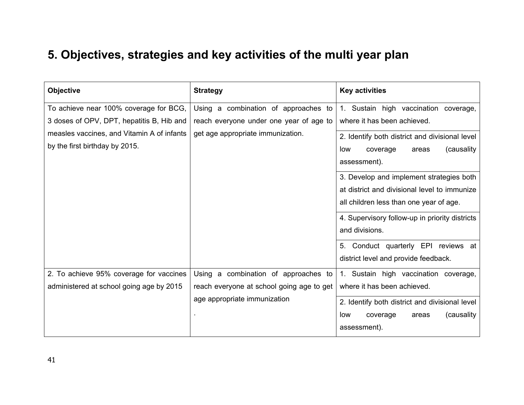# **5. Objectives, strategies and key activities of the multi year plan**

| <b>Objective</b>                           | <b>Strategy</b>                           | <b>Key activities</b>                          |
|--------------------------------------------|-------------------------------------------|------------------------------------------------|
| To achieve near 100% coverage for BCG,     | Using a combination of approaches to      | 1. Sustain high vaccination coverage,          |
| 3 doses of OPV, DPT, hepatitis B, Hib and  | reach everyone under one year of age to   | where it has been achieved.                    |
| measles vaccines, and Vitamin A of infants | get age appropriate immunization.         | 2. Identify both district and divisional level |
| by the first birthday by 2015.             |                                           | (causality)<br>coverage<br>low<br>areas        |
|                                            |                                           | assessment).                                   |
|                                            |                                           | 3. Develop and implement strategies both       |
|                                            |                                           | at district and divisional level to immunize   |
|                                            |                                           | all children less than one year of age.        |
|                                            |                                           | 4. Supervisory follow-up in priority districts |
|                                            |                                           | and divisions.                                 |
|                                            |                                           | 5. Conduct quarterly EPI reviews at            |
|                                            |                                           | district level and provide feedback.           |
| 2. To achieve 95% coverage for vaccines    | Using a combination of approaches to      | 1. Sustain high vaccination coverage,          |
| administered at school going age by 2015   | reach everyone at school going age to get | where it has been achieved.                    |
|                                            | age appropriate immunization              | 2. Identify both district and divisional level |
|                                            |                                           | (causality)<br>coverage<br>areas<br>low        |
|                                            |                                           | assessment).                                   |
|                                            |                                           |                                                |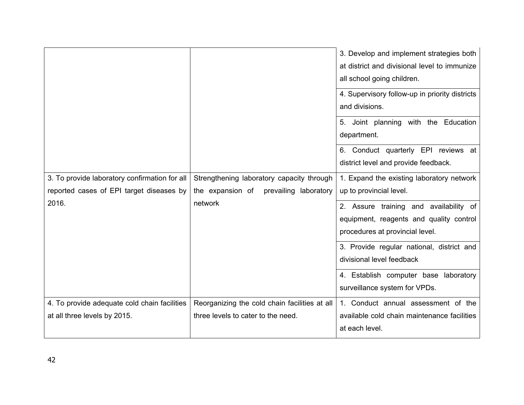|                                               |                                               | 3. Develop and implement strategies both<br>at district and divisional level to immunize<br>all school going children.<br>4. Supervisory follow-up in priority districts |
|-----------------------------------------------|-----------------------------------------------|--------------------------------------------------------------------------------------------------------------------------------------------------------------------------|
|                                               |                                               | and divisions.<br>5. Joint planning with the Education                                                                                                                   |
|                                               |                                               | department.                                                                                                                                                              |
|                                               |                                               | 6. Conduct quarterly EPI reviews at<br>district level and provide feedback.                                                                                              |
| 3. To provide laboratory confirmation for all | Strengthening laboratory capacity through     | 1. Expand the existing laboratory network                                                                                                                                |
| reported cases of EPI target diseases by      | the expansion of<br>prevailing laboratory     | up to provincial level.                                                                                                                                                  |
| 2016.                                         | network                                       | 2. Assure training and availability of                                                                                                                                   |
|                                               |                                               | equipment, reagents and quality control                                                                                                                                  |
|                                               |                                               | procedures at provincial level.                                                                                                                                          |
|                                               |                                               | 3. Provide regular national, district and                                                                                                                                |
|                                               |                                               | divisional level feedback                                                                                                                                                |
|                                               |                                               | 4. Establish computer base laboratory                                                                                                                                    |
|                                               |                                               | surveillance system for VPDs.                                                                                                                                            |
| 4. To provide adequate cold chain facilities  | Reorganizing the cold chain facilities at all | 1. Conduct annual assessment of the                                                                                                                                      |
| at all three levels by 2015.                  | three levels to cater to the need.            | available cold chain maintenance facilities                                                                                                                              |
|                                               |                                               | at each level.                                                                                                                                                           |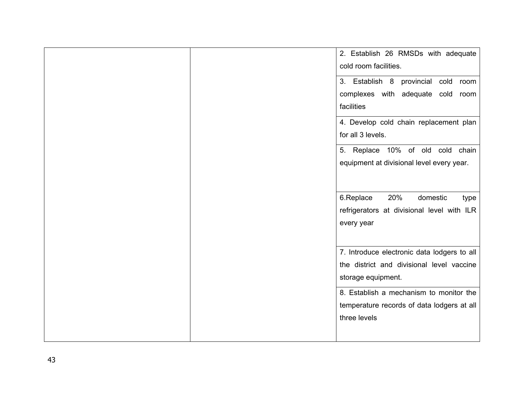|  | 2. Establish 26 RMSDs with adequate         |
|--|---------------------------------------------|
|  |                                             |
|  | cold room facilities.                       |
|  | 3. Establish 8 provincial cold room         |
|  | complexes with adequate cold room           |
|  | facilities                                  |
|  | 4. Develop cold chain replacement plan      |
|  | for all 3 levels.                           |
|  | 5. Replace 10% of old cold chain            |
|  | equipment at divisional level every year.   |
|  |                                             |
|  |                                             |
|  | 20%<br>6.Replace<br>domestic<br>type        |
|  | refrigerators at divisional level with ILR  |
|  | every year                                  |
|  |                                             |
|  |                                             |
|  | 7. Introduce electronic data lodgers to all |
|  | the district and divisional level vaccine   |
|  | storage equipment.                          |
|  |                                             |
|  | 8. Establish a mechanism to monitor the     |
|  | temperature records of data lodgers at all  |
|  | three levels                                |
|  |                                             |
|  |                                             |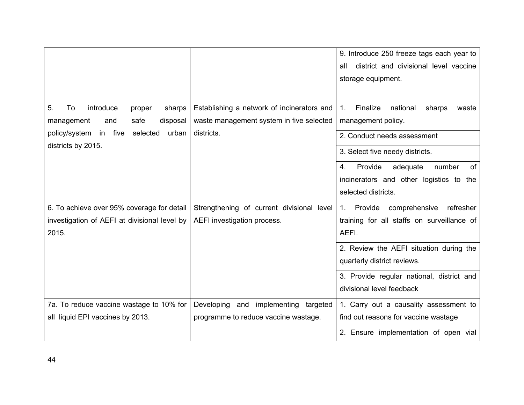|                                              |                                            | 9. Introduce 250 freeze tags each year to                 |
|----------------------------------------------|--------------------------------------------|-----------------------------------------------------------|
|                                              |                                            | district and divisional level vaccine<br>all              |
|                                              |                                            | storage equipment.                                        |
|                                              |                                            |                                                           |
| 5.<br>To<br>introduce<br>proper<br>sharps    | Establishing a network of incinerators and | Finalize<br>national<br>$\mathbf{1}$ .<br>sharps<br>waste |
| safe<br>management<br>disposal<br>and        | waste management system in five selected   | management policy.                                        |
| policy/system in five<br>selected<br>urban   | districts.                                 | 2. Conduct needs assessment                               |
| districts by 2015.                           |                                            | 3. Select five needy districts.                           |
|                                              |                                            | Provide<br>of<br>adequate<br>number<br>4.                 |
|                                              |                                            | incinerators and other logistics to<br>the                |
|                                              |                                            | selected districts.                                       |
| 6. To achieve over 95% coverage for detail   | Strengthening of current divisional level  | comprehensive<br>refresher<br>Provide<br>$1_{-}$          |
| investigation of AEFI at divisional level by | AEFI investigation process.                | training for all staffs on surveillance of                |
| 2015.                                        |                                            | AEFI.                                                     |
|                                              |                                            | 2. Review the AEFI situation during the                   |
|                                              |                                            | quarterly district reviews.                               |
|                                              |                                            | 3. Provide regular national, district and                 |
|                                              |                                            | divisional level feedback                                 |
| 7a. To reduce vaccine wastage to 10% for     | Developing and implementing targeted       | 1. Carry out a causality assessment to                    |
| all liquid EPI vaccines by 2013.             | programme to reduce vaccine wastage.       | find out reasons for vaccine wastage                      |
|                                              |                                            | 2. Ensure implementation of open vial                     |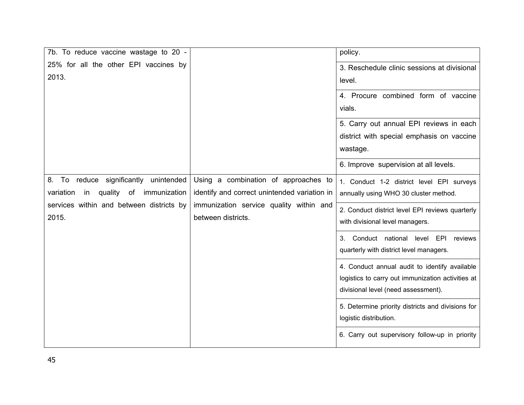| 7b. To reduce vaccine wastage to 20 -            |                                              | policy.                                           |
|--------------------------------------------------|----------------------------------------------|---------------------------------------------------|
| 25% for all the other EPI vaccines by            |                                              | 3. Reschedule clinic sessions at divisional       |
| 2013.                                            |                                              | level.                                            |
|                                                  |                                              | 4. Procure combined form of vaccine               |
|                                                  |                                              | vials.                                            |
|                                                  |                                              | 5. Carry out annual EPI reviews in each           |
|                                                  |                                              | district with special emphasis on vaccine         |
|                                                  |                                              | wastage.                                          |
|                                                  |                                              | 6. Improve supervision at all levels.             |
| reduce significantly unintended<br>8.<br>To      | Using a combination of approaches to         | 1. Conduct 1-2 district level EPI surveys         |
| quality<br>immunization<br>variation<br>of<br>in | identify and correct unintended variation in | annually using WHO 30 cluster method.             |
| services within and between districts by         | immunization service quality within and      | 2. Conduct district level EPI reviews quarterly   |
| 2015.                                            | between districts.                           | with divisional level managers.                   |
|                                                  |                                              | 3. Conduct national level<br>EPI<br>reviews       |
|                                                  |                                              | quarterly with district level managers.           |
|                                                  |                                              | 4. Conduct annual audit to identify available     |
|                                                  |                                              | logistics to carry out immunization activities at |
|                                                  |                                              | divisional level (need assessment).               |
|                                                  |                                              | 5. Determine priority districts and divisions for |
|                                                  |                                              | logistic distribution.                            |
|                                                  |                                              | 6. Carry out supervisory follow-up in priority    |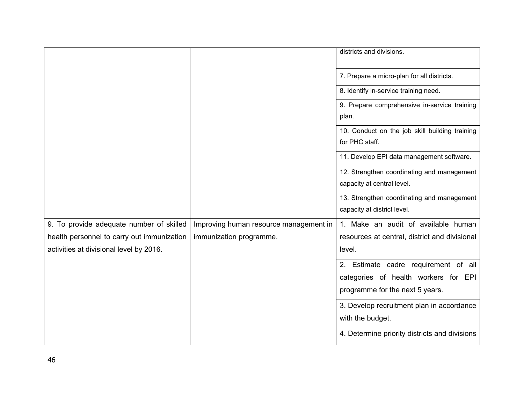|                                            |                                        | districts and divisions.                       |
|--------------------------------------------|----------------------------------------|------------------------------------------------|
|                                            |                                        | 7. Prepare a micro-plan for all districts.     |
|                                            |                                        | 8. Identify in-service training need.          |
|                                            |                                        | 9. Prepare comprehensive in-service training   |
|                                            |                                        | plan.                                          |
|                                            |                                        | 10. Conduct on the job skill building training |
|                                            |                                        | for PHC staff.                                 |
|                                            |                                        | 11. Develop EPI data management software.      |
|                                            |                                        | 12. Strengthen coordinating and management     |
|                                            |                                        | capacity at central level.                     |
|                                            |                                        | 13. Strengthen coordinating and management     |
|                                            |                                        | capacity at district level.                    |
| 9. To provide adequate number of skilled   | Improving human resource management in | 1. Make an audit of available human            |
| health personnel to carry out immunization | immunization programme.                | resources at central, district and divisional  |
| activities at divisional level by 2016.    |                                        | level.                                         |
|                                            |                                        | 2. Estimate cadre requirement of all           |
|                                            |                                        | categories of health workers for EPI           |
|                                            |                                        | programme for the next 5 years.                |
|                                            |                                        | 3. Develop recruitment plan in accordance      |
|                                            |                                        | with the budget.                               |
|                                            |                                        | 4. Determine priority districts and divisions  |
|                                            |                                        |                                                |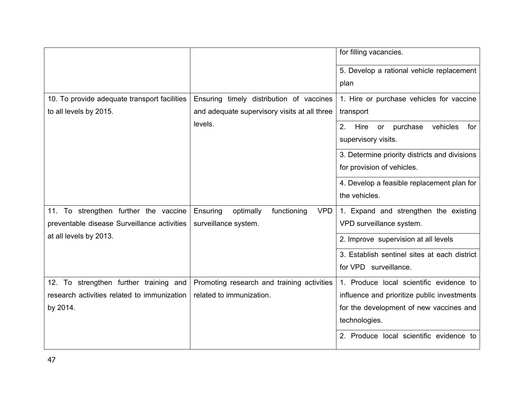|                                              |                                                    | for filling vacancies.                          |
|----------------------------------------------|----------------------------------------------------|-------------------------------------------------|
|                                              |                                                    | 5. Develop a rational vehicle replacement       |
|                                              |                                                    | plan                                            |
| 10. To provide adequate transport facilities | Ensuring timely distribution of vaccines           | 1. Hire or purchase vehicles for vaccine        |
| to all levels by 2015.                       | and adequate supervisory visits at all three       | transport                                       |
|                                              | levels.                                            | 2.<br>Hire<br>purchase<br>vehicles<br>for<br>or |
|                                              |                                                    | supervisory visits.                             |
|                                              |                                                    | 3. Determine priority districts and divisions   |
|                                              |                                                    | for provision of vehicles.                      |
|                                              |                                                    | 4. Develop a feasible replacement plan for      |
|                                              |                                                    | the vehicles.                                   |
| 11. To strengthen further the vaccine        | Ensuring<br>functioning<br><b>VPD</b><br>optimally | 1. Expand and strengthen the existing           |
| preventable disease Surveillance activities  | surveillance system.                               | VPD surveillance system.                        |
| at all levels by 2013.                       |                                                    | 2. Improve supervision at all levels            |
|                                              |                                                    | 3. Establish sentinel sites at each district    |
|                                              |                                                    | for VPD surveillance.                           |
| 12. To strengthen further training and       | Promoting research and training activities         | 1. Produce local scientific evidence to         |
| research activities related to immunization  | related to immunization.                           | influence and prioritize public investments     |
| by 2014.                                     |                                                    | for the development of new vaccines and         |
|                                              |                                                    | technologies.                                   |
|                                              |                                                    | 2. Produce local scientific evidence to         |
|                                              |                                                    |                                                 |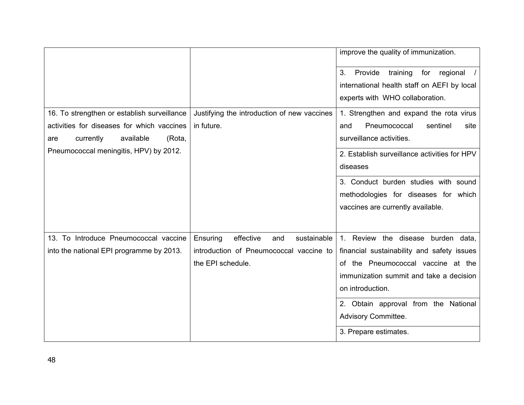|                                             |                                             | improve the quality of immunization.           |
|---------------------------------------------|---------------------------------------------|------------------------------------------------|
|                                             |                                             | Provide<br>3.<br>training<br>for<br>regional   |
|                                             |                                             | international health staff on AEFI by local    |
|                                             |                                             | experts with WHO collaboration.                |
| 16. To strengthen or establish surveillance | Justifying the introduction of new vaccines | 1. Strengthen and expand the rota virus        |
| activities for diseases for which vaccines  | in future.                                  | Pneumococcal<br>sentinel<br>and<br>site        |
| available<br>(Rota,<br>currently<br>are     |                                             | surveillance activities.                       |
| Pneumococcal meningitis, HPV) by 2012.      |                                             | 2. Establish surveillance activities for HPV   |
|                                             |                                             | diseases                                       |
|                                             |                                             | 3. Conduct burden studies with sound           |
|                                             |                                             | methodologies for diseases for which           |
|                                             |                                             | vaccines are currently available.              |
|                                             |                                             |                                                |
| 13. To Introduce Pneumococcal vaccine       | effective<br>sustainable<br>Ensuring<br>and | Review the disease burden data,<br>$1_{\cdot}$ |
| into the national EPI programme by 2013.    | introduction of Pneumococcal vaccine to     | financial sustainability and safety issues     |
|                                             | the EPI schedule.                           | of the Pneumococcal vaccine at the             |
|                                             |                                             | immunization summit and take a decision        |
|                                             |                                             | on introduction.                               |
|                                             |                                             | 2. Obtain approval from the National           |
|                                             |                                             | Advisory Committee.                            |
|                                             |                                             | 3. Prepare estimates.                          |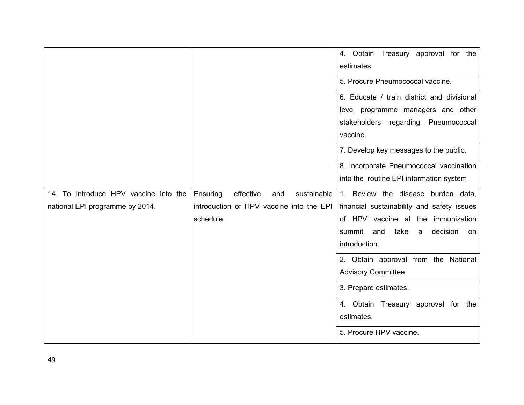|                                                                          |                                                                                                      | 4. Obtain Treasury approval for the<br>estimates.<br>5. Procure Pneumococcal vaccine.                                                                                                                                                                                           |
|--------------------------------------------------------------------------|------------------------------------------------------------------------------------------------------|---------------------------------------------------------------------------------------------------------------------------------------------------------------------------------------------------------------------------------------------------------------------------------|
|                                                                          |                                                                                                      | 6. Educate / train district and divisional<br>level programme managers and other<br>stakeholders regarding<br>Pneumococcal<br>vaccine.<br>7. Develop key messages to the public.<br>8. Incorporate Pneumococcal vaccination                                                     |
|                                                                          |                                                                                                      | into the routine EPI information system                                                                                                                                                                                                                                         |
| 14. To Introduce HPV vaccine into the<br>national EPI programme by 2014. | Ensuring<br>effective<br>and<br>sustainable<br>introduction of HPV vaccine into the EPI<br>schedule. | 1. Review the disease burden data,<br>financial sustainability and safety issues<br>of HPV vaccine at the immunization<br>summit<br>decision<br>take<br>and<br>a<br>on<br>introduction.<br>2. Obtain approval from the National<br>Advisory Committee.<br>3. Prepare estimates. |
|                                                                          |                                                                                                      | 4. Obtain Treasury approval for the<br>estimates.<br>5. Procure HPV vaccine.                                                                                                                                                                                                    |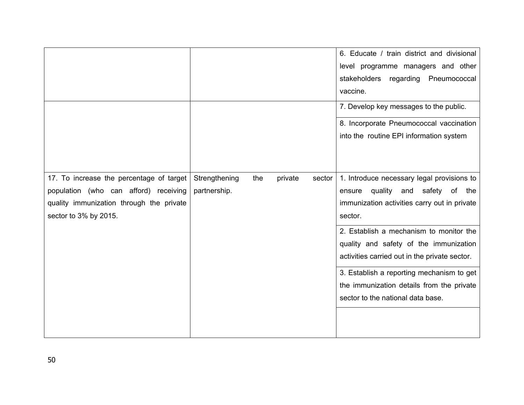|                                                                                                                                                        |                               |     |         |        | 6. Educate / train district and divisional<br>level programme managers and other<br>stakeholders regarding Pneumococcal<br>vaccine.<br>7. Develop key messages to the public.<br>8. Incorporate Pneumococcal vaccination |
|--------------------------------------------------------------------------------------------------------------------------------------------------------|-------------------------------|-----|---------|--------|--------------------------------------------------------------------------------------------------------------------------------------------------------------------------------------------------------------------------|
|                                                                                                                                                        |                               |     |         |        | into the routine EPI information system                                                                                                                                                                                  |
| 17. To increase the percentage of target<br>population (who can afford) receiving<br>quality immunization through the private<br>sector to 3% by 2015. | Strengthening<br>partnership. | the | private | sector | 1. Introduce necessary legal provisions to<br>quality<br>and safety of<br>the<br>ensure<br>immunization activities carry out in private<br>sector.                                                                       |
|                                                                                                                                                        |                               |     |         |        | 2. Establish a mechanism to monitor the<br>quality and safety of the immunization<br>activities carried out in the private sector.                                                                                       |
|                                                                                                                                                        |                               |     |         |        | 3. Establish a reporting mechanism to get<br>the immunization details from the private<br>sector to the national data base.                                                                                              |
|                                                                                                                                                        |                               |     |         |        |                                                                                                                                                                                                                          |